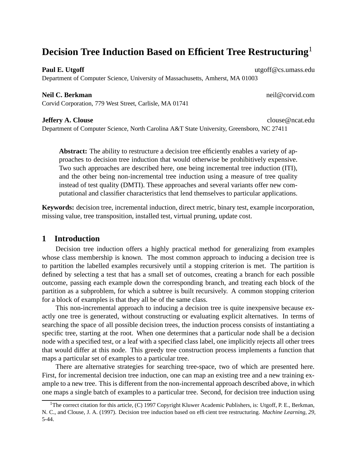# **Decision Tree Induction Based on Efficient Tree Restructuring**<sup>1</sup>

Department of Computer Science, University of Massachusetts, Amherst, MA 01003

### **Neil C. Berkman** neil@corvid.com

Corvid Corporation, 779 West Street, Carlisle, MA 01741

## **Jeffery A. Clouse** clouse clouse clouse clouse clouse clouse clouse clouse clouse clouse clouse clouse control of the state of the state of the state of the state of the state of the state of the state of the state of the

Department of Computer Science, North Carolina A&T State University, Greensboro, NC 27411

**Abstract:** The ability to restructure a decision tree efficiently enables a variety of approaches to decision tree induction that would otherwise be prohibitively expensive. Two such approaches are described here, one being incremental tree induction (ITI), and the other being non-incremental tree induction using a measure of tree quality instead of test quality (DMTI). These approaches and several variants offer new computational and classifier characteristics that lend themselves to particular applications.

**Keywords:** decision tree, incremental induction, direct metric, binary test, example incorporation, missing value, tree transposition, installed test, virtual pruning, update cost.

# **1 Introduction**

Decision tree induction offers a highly practical method for generalizing from examples whose class membership is known. The most common approach to inducing a decision tree is to partition the labelled examples recursively until a stopping criterion is met. The partition is defined by selecting a test that has a small set of outcomes, creating a branch for each possible outcome, passing each example down the corresponding branch, and treating each block of the partition as a subproblem, for which a subtree is built recursively. A common stopping criterion for a block of examples is that they all be of the same class.

This non-incremental approach to inducing a decision tree is quite inexpensive because exactly one tree is generated, without constructing or evaluating explicit alternatives. In terms of searching the space of all possible decision trees, the induction process consists of instantiating a specific tree, starting at the root. When one determines that a particular node shall be a decision node with a specified test, or a leaf with a specified class label, one implicitly rejects all other trees that would differ at this node. This greedy tree construction process implements a function that maps a particular set of examples to a particular tree.

There are alternative strategies for searching tree-space, two of which are presented here. First, for incremental decision tree induction, one can map an existing tree and a new training example to a new tree. This is different from the non-incremental approach described above, in which one maps a single batch of examples to a particular tree. Second, for decision tree induction using

**Paul E. Utgoff** utgoff@cs.umass.edu

<sup>&</sup>lt;sup>1</sup>The correct citation for this article, (C) 1997 Copyright Kluwer Academic Publishers, is: Utgoff, P. E., Berkman, N. C., and Clouse, J. A. (1997). Decision tree induction based on efficient tree restructuring. *Machine Learning, 29*, 5-44.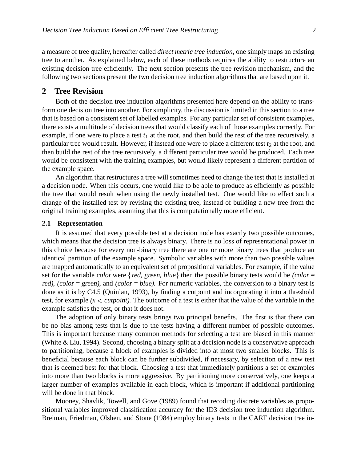a measure of tree quality, hereafter called *direct metric tree induction*, one simply maps an existing tree to another. As explained below, each of these methods requires the ability to restructure an existing decision tree efficiently. The next section presents the tree revision mechanism, and the following two sections present the two decision tree induction algorithms that are based upon it.

# **2 Tree Revision**

Both of the decision tree induction algorithms presented here depend on the ability to transform one decision tree into another. For simplicity, the discussion is limited in this section to a tree that is based on a consistent set of labelled examples. For any particular set of consistent examples, there exists a multitude of decision trees that would classify each of those examples correctly. For example, if one were to place a test  $t_1$  at the root, and then build the rest of the tree recursively, a particular tree would result. However, if instead one were to place a different test  $t_2$  at the root, and then build the rest of the tree recursively, a different particular tree would be produced. Each tree would be consistent with the training examples, but would likely represent a different partition of the example space.

An algorithm that restructures a tree will sometimes need to change the test that is installed at a decision node. When this occurs, one would like to be able to produce as efficiently as possible the tree that would result when using the newly installed test. One would like to effect such a change of the installed test by revising the existing tree, instead of building a new tree from the original training examples, assuming that this is computationally more efficient.

### **2.1 Representation**

It is assumed that every possible test at a decision node has exactly two possible outcomes, which means that the decision tree is always binary. There is no loss of representational power in this choice because for every non-binary tree there are one or more binary trees that produce an identical partition of the example space. Symbolic variables with more than two possible values are mapped automatically to an equivalent set of propositional variables. For example, if the value set for the variable color were  $\{red, green, blue\}$  then the possible binary tests would be (color = red), (color = green), and (color = blue). For numeric variables, the conversion to a binary test is done as it is by C4.5 (Quinlan, 1993), by finding a cutpoint and incorporating it into a threshold test, for example  $(x <$  *cutpoint*). The outcome of a test is either that the value of the variable in the example satisfies the test, or that it does not.

The adoption of only binary tests brings two principal benefits. The first is that there can be no bias among tests that is due to the tests having a different number of possible outcomes. This is important because many common methods for selecting a test are biased in this manner (White & Liu, 1994). Second, choosing a binary split at a decision node is a conservative approach to partitioning, because a block of examples is divided into at most two smaller blocks. This is beneficial because each block can be further subdivided, if necessary, by selection of a new test that is deemed best for that block. Choosing a test that immediately partitions a set of examples into more than two blocks is more aggressive. By partitioning more conservatively, one keeps a larger number of examples available in each block, which is important if additional partitioning will be done in that block.

Mooney, Shavlik, Towell, and Gove (1989) found that recoding discrete variables as propositional variables improved classification accuracy for the ID3 decision tree induction algorithm. Breiman, Friedman, Olshen, and Stone (1984) employ binary tests in the CART decision tree in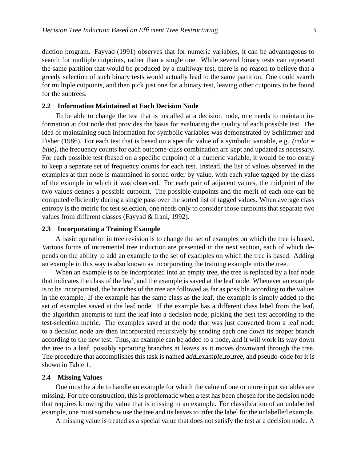duction program. Fayyad (1991) observes that for numeric variables, it can be advantageous to search for multiple cutpoints, rather than a single one. While several binary tests can represent the same partition that would be produced by a multiway test, there is no reason to believe that a greedy selection of such binary tests would actually lead to the same partition. One could search for multiple cutpoints, and then pick just one for a binary test, leaving other cutpoints to be found for the subtrees.

### **2.2 Information Maintained at Each Decision Node**

To be able to change the test that is installed at a decision node, one needs to maintain information at that node that provides the basis for evaluating the quality of each possible test. The idea of maintaining such information for symbolic variables was demonstrated by Schlimmer and Fisher (1986). For each test that is based on a specific value of a symbolic variable, e.g. (color  $=$ blue), the frequency counts for each outcome-class combination are kept and updated as necessary. For each possible test (based on a specific cutpoint) of a numeric variable, it would be too costly to keep a separate set of frequency counts for each test. Instead, the list of values observed in the examples at that node is maintained in sorted order by value, with each value tagged by the class of the example in which it was observed. For each pair of adjacent values, the midpoint of the two values defines a possible cutpoint. The possible cutpoints and the merit of each one can be computed efficiently during a single pass over the sorted list of tagged values. When average class entropy is the metric for test selection, one needs only to consider those cutpoints that separate two values from different classes (Fayyad & Irani, 1992).

### **2.3 Incorporating a Training Example**

A basic operation in tree revision is to change the set of examples on which the tree is based. Various forms of incremental tree induction are presented in the next section, each of which depends on the ability to add an example to the set of examples on which the tree is based. Adding an example in this way is also known as incorporating the training example into the tree.

When an example is to be incorporated into an empty tree, the tree is replaced by a leaf node that indicates the class of the leaf, and the example is saved at the leaf node. Whenever an example is to be incorporated, the branches of the tree are followed as far as possible according to the values in the example. If the example has the same class as the leaf, the example is simply added to the set of examples saved at the leaf node. If the example has a different class label from the leaf, the algorithm attempts to turn the leaf into a decision node, picking the best test according to the test-selection metric. The examples saved at the node that was just converted from a leaf node to a decision node are then incorporated recursively by sending each one down its proper branch according to the new test. Thus, an example can be added to a node, and it will work its way down the tree to a leaf, possibly sprouting branches at leaves as it moves downward through the tree. The procedure that accomplishes this task is named add\_example\_to\_tree, and pseudo-code for it is shown in Table 1.

### **2.4 Missing Values**

One must be able to handle an example for which the value of one or more input variables are missing. For tree construction, this is problematic when a test has been chosen for the decision node that requires knowing the value that is missing in an example. For classification of an unlabelled example, one must somehow use the tree and its leaves to infer the label for the unlabelled example.

A missing value is treated as a special value that does not satisfy the test at a decision node. A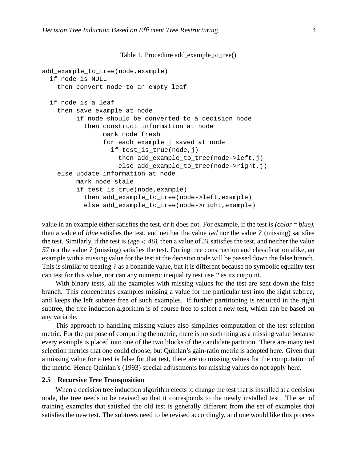```
Table 1. Procedure add_example_to_tree()
```

```
add_example_to_tree(node,example)
 if node is NULL
   then convert node to an empty leaf
 if node is a leaf
   then save example at node
        if node should be converted to a decision node
          then construct information at node
               mark node fresh
               for each example j saved at node
                 if test_is_true(node,j)
                   then add_example_to_tree(node->left,j)
                   else add_example_to_tree(node->right,j)
   else update information at node
        mark node stale
        if test_is_true(node,example)
          then add_example_to_tree(node->left,example)
          else add_example_to_tree(node->right,example)
```
value in an example either satisfies the test, or it does not. For example, if the test is  $(color = blue)$ , then a value of blue satisfies the test, and neither the value red nor the value ? (missing) satisfies the test. Similarly, if the test is (age  $<$  46), then a value of 31 satisfies the test, and neither the value <sup>57</sup> nor the value ? (missing) satisfies the test. During tree construction and classification alike, an example with a missing value for the test at the decision node will be passed down the false branch. This is similar to treating ? as a bonafide value, but it is different because no symbolic equality test can test for this value, nor can any numeric inequality test use ? as its cutpoint.

With binary tests, all the examples with missing values for the test are sent down the false branch. This concentrates examples missing a value for the particular test into the right subtree, and keeps the left subtree free of such examples. If further partitioning is required in the right subtree, the tree induction algorithm is of course free to select a new test, which can be based on any variable.

This approach to handling missing values also simplifies computation of the test selection metric. For the purpose of computing the metric, there is no such thing as a missing value because every example is placed into one of the two blocks of the candidate partition. There are many test selection metrics that one could choose, but Quinlan's gain-ratio metric is adopted here. Given that a missing value for a test is false for that test, there are no missing values for the computation of the metric. Hence Quinlan's (1993) special adjustments for missing values do not apply here.

### **2.5 Recursive Tree Transposition**

When a decision tree induction algorithm elects to change the test that is installed at a decision node, the tree needs to be revised so that it corresponds to the newly installed test. The set of training examples that satisfied the old test is generally different from the set of examples that satisfies the new test. The subtrees need to be revised accordingly, and one would like this process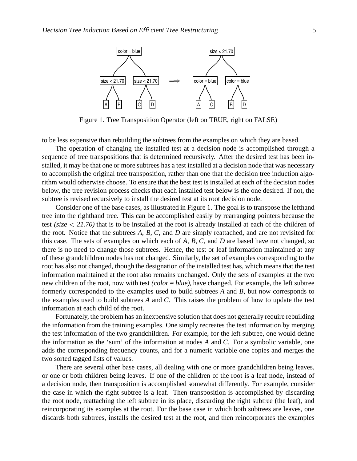

Figure 1. Tree Transposition Operator (left on TRUE, right on FALSE)

to be less expensive than rebuilding the subtrees from the examples on which they are based.

The operation of changing the installed test at a decision node is accomplished through a sequence of tree transpositions that is determined recursively. After the desired test has been installed, it may be that one or more subtrees has a test installed at a decision node that was necessary to accomplish the original tree transposition, rather than one that the decision tree induction algorithm would otherwise choose. To ensure that the best test is installed at each of the decision nodes below, the tree revision process checks that each installed test below is the one desired. If not, the subtree is revised recursively to install the desired test at its root decision node.

Consider one of the base cases, as illustrated in Figure 1. The goal is to transpose the lefthand tree into the righthand tree. This can be accomplished easily by rearranging pointers because the test (size  $\langle 21.70 \rangle$ ) that is to be installed at the root is already installed at each of the children of the root. Notice that the subtrees *A*, *B*, *C*, and *D* are simply reattached, and are not revisited for this case. The sets of examples on which each of *A*, *B*, *C*, and *D* are based have not changed, so there is no need to change those subtrees. Hence, the test or leaf information maintained at any of these grandchildren nodes has not changed. Similarly, the set of examples corresponding to the root has also not changed, though the designation of the installed test has, which means that the test information maintained at the root also remains unchanged. Only the sets of examples at the two new children of the root, now with test (color  $=$  blue), have changed. For example, the left subtree formerly corresponded to the examples used to build subtrees *A* and *B*, but now corresponds to the examples used to build subtrees *A* and *C*. This raises the problem of how to update the test information at each child of the root.

Fortunately, the problem has an inexpensive solution that does not generally require rebuilding the information from the training examples. One simply recreates the test information by merging the test information of the two grandchildren. For example, for the left subtree, one would define the information as the 'sum' of the information at nodes *A* and *C*. For a symbolic variable, one adds the corresponding frequency counts, and for a numeric variable one copies and merges the two sorted tagged lists of values.

There are several other base cases, all dealing with one or more grandchildren being leaves, or one or both children being leaves. If one of the children of the root is a leaf node, instead of a decision node, then transposition is accomplished somewhat differently. For example, consider the case in which the right subtree is a leaf. Then transposition is accomplished by discarding the root node, reattaching the left subtree in its place, discarding the right subtree (the leaf), and reincorporating its examples at the root. For the base case in which both subtrees are leaves, one discards both subtrees, installs the desired test at the root, and then reincorporates the examples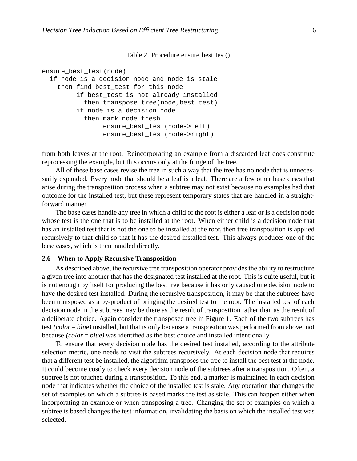Table 2. Procedure ensure best test()

```
ensure_best_test(node)
 if node is a decision node and node is stale
   then find best_test for this node
        if best test is not already installed
          then transpose_tree(node,best_test)
        if node is a decision node
          then mark node fresh
               ensure_best_test(node->left)
               ensure_best_test(node->right)
```
from both leaves at the root. Reincorporating an example from a discarded leaf does constitute reprocessing the example, but this occurs only at the fringe of the tree.

All of these base cases revise the tree in such a way that the tree has no node that is unnecessarily expanded. Every node that should be a leaf is a leaf. There are a few other base cases that arise during the transposition process when a subtree may not exist because no examples had that outcome for the installed test, but these represent temporary states that are handled in a straightforward manner.

The base cases handle any tree in which a child of the root is either a leaf or is a decision node whose test is the one that is to be installed at the root. When either child is a decision node that has an installed test that is not the one to be installed at the root, then tree transposition is applied recursively to that child so that it has the desired installed test. This always produces one of the base cases, which is then handled directly.

#### **2.6 When to Apply Recursive Transposition**

As described above, the recursive tree transposition operator provides the ability to restructure a given tree into another that has the designated test installed at the root. This is quite useful, but it is not enough by itself for producing the best tree because it has only caused one decision node to have the desired test installed. During the recursive transposition, it may be that the subtrees have been transposed as a by-product of bringing the desired test to the root. The installed test of each decision node in the subtrees may be there as the result of transposition rather than as the result of a deliberate choice. Again consider the transposed tree in Figure 1. Each of the two subtrees has test (color <sup>=</sup> blue) installed, but that is only because a transposition was performed from above, not because (color <sup>=</sup> blue) was identified as the best choice and installed intentionally.

To ensure that every decision node has the desired test installed, according to the attribute selection metric, one needs to visit the subtrees recursively. At each decision node that requires that a different test be installed, the algorithm transposes the tree to install the best test at the node. It could become costly to check every decision node of the subtrees after a transposition. Often, a subtree is not touched during a transposition. To this end, a marker is maintained in each decision node that indicates whether the choice of the installed test is stale. Any operation that changes the set of examples on which a subtree is based marks the test as stale. This can happen either when incorporating an example or when transposing a tree. Changing the set of examples on which a subtree is based changes the test information, invalidating the basis on which the installed test was selected.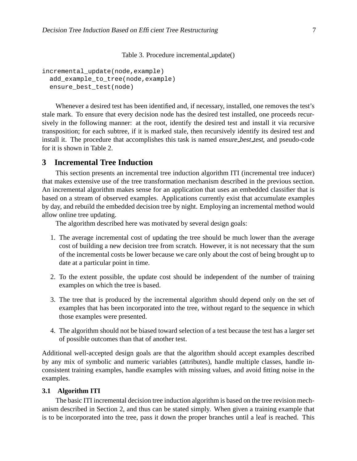Table 3. Procedure incremental update()

```
incremental_update(node,example)
add_example_to_tree(node,example)
 ensure best test(node)
```
Whenever a desired test has been identified and, if necessary, installed, one removes the test's stale mark. To ensure that every decision node has the desired test installed, one proceeds recursively in the following manner: at the root, identify the desired test and install it via recursive transposition; for each subtree, if it is marked stale, then recursively identify its desired test and install it. The procedure that accomplishes this task is named ensure best test, and pseudo-code for it is shown in Table 2.

# **3 Incremental Tree Induction**

This section presents an incremental tree induction algorithm ITI (incremental tree inducer) that makes extensive use of the tree transformation mechanism described in the previous section. An incremental algorithm makes sense for an application that uses an embedded classifier that is based on a stream of observed examples. Applications currently exist that accumulate examples by day, and rebuild the embedded decision tree by night. Employing an incremental method would allow online tree updating.

The algorithm described here was motivated by several design goals:

- 1. The average incremental cost of updating the tree should be much lower than the average cost of building a new decision tree from scratch. However, it is not necessary that the sum of the incremental costs be lower because we care only about the cost of being brought up to date at a particular point in time.
- 2. To the extent possible, the update cost should be independent of the number of training examples on which the tree is based.
- 3. The tree that is produced by the incremental algorithm should depend only on the set of examples that has been incorporated into the tree, without regard to the sequence in which those examples were presented.
- 4. The algorithm should not be biased toward selection of a test because the test has a larger set of possible outcomes than that of another test.

Additional well-accepted design goals are that the algorithm should accept examples described by any mix of symbolic and numeric variables (attributes), handle multiple classes, handle inconsistent training examples, handle examples with missing values, and avoid fitting noise in the examples.

### **3.1 Algorithm ITI**

The basic ITI incremental decision tree induction algorithm is based on the tree revision mechanism described in Section 2, and thus can be stated simply. When given a training example that is to be incorporated into the tree, pass it down the proper branches until a leaf is reached. This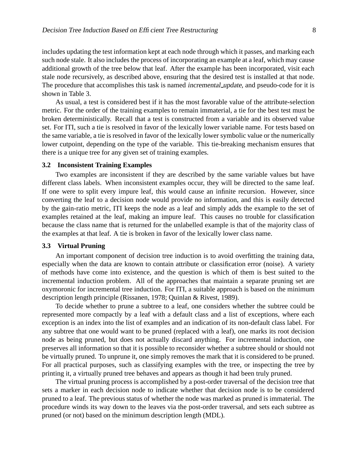includes updating the test information kept at each node through which it passes, and marking each such node stale. It also includes the process of incorporating an example at a leaf, which may cause additional growth of the tree below that leaf. After the example has been incorporated, visit each stale node recursively, as described above, ensuring that the desired test is installed at that node. The procedure that accomplishes this task is named incremental update, and pseudo-code for it is shown in Table 3.

As usual, a test is considered best if it has the most favorable value of the attribute-selection metric. For the order of the training examples to remain immaterial, a tie for the best test must be broken deterministically. Recall that a test is constructed from a variable and its observed value set. For ITI, such a tie is resolved in favor of the lexically lower variable name. For tests based on the same variable, a tie is resolved in favor of the lexically lower symbolic value or the numerically lower cutpoint, depending on the type of the variable. This tie-breaking mechanism ensures that there is a unique tree for any given set of training examples.

### **3.2 Inconsistent Training Examples**

Two examples are inconsistent if they are described by the same variable values but have different class labels. When inconsistent examples occur, they will be directed to the same leaf. If one were to split every impure leaf, this would cause an infinite recursion. However, since converting the leaf to a decision node would provide no information, and this is easily detected by the gain-ratio metric, ITI keeps the node as a leaf and simply adds the example to the set of examples retained at the leaf, making an impure leaf. This causes no trouble for classification because the class name that is returned for the unlabelled example is that of the majority class of the examples at that leaf. A tie is broken in favor of the lexically lower class name.

### **3.3 Virtual Pruning**

An important component of decision tree induction is to avoid overfitting the training data, especially when the data are known to contain attribute or classification error (noise). A variety of methods have come into existence, and the question is which of them is best suited to the incremental induction problem. All of the approaches that maintain a separate pruning set are oxymoronic for incremental tree induction. For ITI, a suitable approach is based on the minimum description length principle (Rissanen, 1978; Quinlan & Rivest, 1989).

To decide whether to prune a subtree to a leaf, one considers whether the subtree could be represented more compactly by a leaf with a default class and a list of exceptions, where each exception is an index into the list of examples and an indication of its non-default class label. For any subtree that one would want to be pruned (replaced with a leaf), one marks its root decision node as being pruned, but does not actually discard anything. For incremental induction, one preserves all information so that it is possible to reconsider whether a subtree should or should not be virtually pruned. To unprune it, one simply removes the mark that it is considered to be pruned. For all practical purposes, such as classifying examples with the tree, or inspecting the tree by printing it, a virtually pruned tree behaves and appears as though it had been truly pruned.

The virtual pruning process is accomplished by a post-order traversal of the decision tree that sets a marker in each decision node to indicate whether that decision node is to be considered pruned to a leaf. The previous status of whether the node was marked as pruned is immaterial. The procedure winds its way down to the leaves via the post-order traversal, and sets each subtree as pruned (or not) based on the minimum description length (MDL).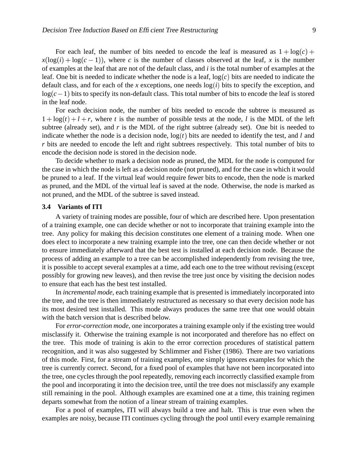For each leaf, the number of bits needed to encode the leaf is measured as  $1 + log(c) +$  $x(\log(i) + \log(c - 1))$ , where *c* is the number of classes observed at the leaf, *x* is the number of examples at the leaf that are not of the default class, and *i* is the total number of examples at the leaf. One bit is needed to indicate whether the node is a leaf,  $log(c)$  bits are needed to indicate the default class, and for each of the *x* exceptions, one needs  $log(i)$  bits to specify the exception, and  $log(c-1)$  bits to specify its non-default class. This total number of bits to encode the leaf is stored in the leaf node.

For each decision node, the number of bits needed to encode the subtree is measured as  $1 + \log(t) + l + r$ , where *t* is the number of possible tests at the node, *l* is the MDL of the left subtree (already set), and *r* is the MDL of the right subtree (already set). One bit is needed to indicate whether the node is a decision node,  $log(t)$  bits are needed to identify the test, and *l* and *r* bits are needed to encode the left and right subtrees respectively. This total number of bits to encode the decision node is stored in the decision node.

To decide whether to mark a decision node as pruned, the MDL for the node is computed for the case in which the node is left as a decision node (not pruned), and for the case in which it would be pruned to a leaf. If the virtual leaf would require fewer bits to encode, then the node is marked as pruned, and the MDL of the virtual leaf is saved at the node. Otherwise, the node is marked as not pruned, and the MDL of the subtree is saved instead.

### **3.4 Variants of ITI**

A variety of training modes are possible, four of which are described here. Upon presentation of a training example, one can decide whether or not to incorporate that training example into the tree. Any policy for making this decision constitutes one element of a training mode. When one does elect to incorporate a new training example into the tree, one can then decide whether or not to ensure immediately afterward that the best test is installed at each decision node. Because the process of adding an example to a tree can be accomplished independently from revising the tree, it is possible to accept several examples at a time, add each one to the tree without revising (except possibly for growing new leaves), and then revise the tree just once by visiting the decision nodes to ensure that each has the best test installed.

In *incremental mode*, each training example that is presented is immediately incorporated into the tree, and the tree is then immediately restructured as necessary so that every decision node has its most desired test installed. This mode always produces the same tree that one would obtain with the batch version that is described below.

For *error-correction mode*, one incorporates a training example only if the existing tree would misclassify it. Otherwise the training example is not incorporated and therefore has no effect on the tree. This mode of training is akin to the error correction procedures of statistical pattern recognition, and it was also suggested by Schlimmer and Fisher (1986). There are two variations of this mode. First, for a stream of training examples, one simply ignores examples for which the tree is currently correct. Second, for a fixed pool of examples that have not been incorporated into the tree, one cycles through the pool repeatedly, removing each incorrectly classified example from the pool and incorporating it into the decision tree, until the tree does not misclassify any example still remaining in the pool. Although examples are examined one at a time, this training regimen departs somewhat from the notion of a linear stream of training examples.

For a pool of examples, ITI will always build a tree and halt. This is true even when the examples are noisy, because ITI continues cycling through the pool until every example remaining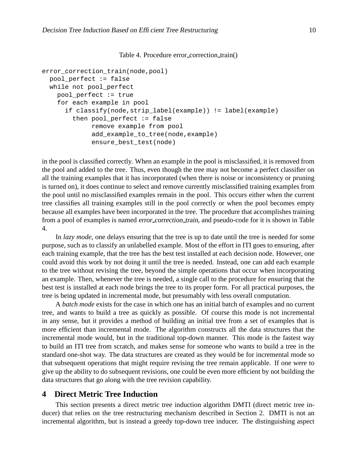```
Table 4. Procedure error correction train()
```

```
error_correction_train(node,pool)
pool_perfect := false
while not pool perfect
  pool_perfect := true
   for each example in pool
     if classify(node,strip_label(example)) != label(example)
       then pool_perfect := false
            remove example from pool
            add_example_to_tree(node,example)
            ensure_best_test(node)
```
in the pool is classified correctly. When an example in the pool is misclassified, it is removed from the pool and added to the tree. Thus, even though the tree may not become a perfect classifier on all the training examples that it has incorporated (when there is noise or inconsistency or pruning is turned on), it does continue to select and remove currently misclassified training examples from the pool until no misclassified examples remain in the pool. This occurs either when the current tree classifies all training examples still in the pool correctly or when the pool becomes empty because all examples have been incorporated in the tree. The procedure that accomplishes training from a pool of examples is named error\_correction\_train, and pseudo-code for it is shown in Table 4.

In *lazy mode*, one delays ensuring that the tree is up to date until the tree is needed for some purpose, such as to classify an unlabelled example. Most of the effort in ITI goes to ensuring, after each training example, that the tree has the best test installed at each decision node. However, one could avoid this work by not doing it until the tree is needed. Instead, one can add each example to the tree without revising the tree, beyond the simple operations that occur when incorporating an example. Then, whenever the tree is needed, a single call to the procedure for ensuring that the best test is installed at each node brings the tree to its proper form. For all practical purposes, the tree is being updated in incremental mode, but presumably with less overall computation.

A *batch mode* exists for the case in which one has an initial batch of examples and no current tree, and wants to build a tree as quickly as possible. Of course this mode is not incremental in any sense, but it provides a method of building an initial tree from a set of examples that is more efficient than incremental mode. The algorithm constructs all the data structures that the incremental mode would, but in the traditional top-down manner. This mode is the fastest way to build an ITI tree from scratch, and makes sense for someone who wants to build a tree in the standard one-shot way. The data structures are created as they would be for incremental mode so that subsequent operations that might require revising the tree remain applicable. If one were to give up the ability to do subsequent revisions, one could be even more efficient by not building the data structures that go along with the tree revision capability.

# **4 Direct Metric Tree Induction**

This section presents a direct metric tree induction algorithm DMTI (direct metric tree inducer) that relies on the tree restructuring mechanism described in Section 2. DMTI is not an incremental algorithm, but is instead a greedy top-down tree inducer. The distinguishing aspect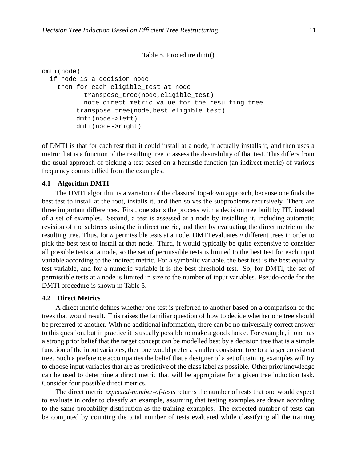```
Table 5. Procedure dmti()
```

```
dmti(node)
 if node is a decision node
   then for each eligible test at node
          transpose tree(node, eligible test)
          note direct metric value for the resulting tree
        transpose tree(node, best eligible test)
        dmti(node->left)
        dmti(node->right)
```
of DMTI is that for each test that it could install at a node, it actually installs it, and then uses a metric that is a function of the resulting tree to assess the desirability of that test. This differs from the usual approach of picking a test based on a heuristic function (an indirect metric) of various frequency counts tallied from the examples.

### **4.1 Algorithm DMTI**

The DMTI algorithm is a variation of the classical top-down approach, because one finds the best test to install at the root, installs it, and then solves the subproblems recursively. There are three important differences. First, one starts the process with a decision tree built by ITI, instead of a set of examples. Second, a test is assessed at a node by installing it, including automatic revision of the subtrees using the indirect metric, and then by evaluating the direct metric on the resulting tree. Thus, for *n* permissible tests at a node, DMTI evaluates *n* different trees in order to pick the best test to install at that node. Third, it would typically be quite expensive to consider all possible tests at a node, so the set of permissible tests is limited to the best test for each input variable according to the indirect metric. For a symbolic variable, the best test is the best equality test variable, and for a numeric variable it is the best threshold test. So, for DMTI, the set of permissible tests at a node is limited in size to the number of input variables. Pseudo-code for the DMTI procedure is shown in Table 5.

# **4.2 Direct Metrics**

A direct metric defines whether one test is preferred to another based on a comparison of the trees that would result. This raises the familiar question of how to decide whether one tree should be preferred to another. With no additional information, there can be no universally correct answer to this question, but in practice it is usually possible to make a good choice. For example, if one has a strong prior belief that the target concept can be modelled best by a decision tree that is a simple function of the input variables, then one would prefer a smaller consistent tree to a larger consistent tree. Such a preference accompanies the belief that a designer of a set of training examples will try to choose input variables that are as predictive of the class label as possible. Other prior knowledge can be used to determine a direct metric that will be appropriate for a given tree induction task. Consider four possible direct metrics.

The direct metric *expected-number-of-tests* returns the number of tests that one would expect to evaluate in order to classify an example, assuming that testing examples are drawn according to the same probability distribution as the training examples. The expected number of tests can be computed by counting the total number of tests evaluated while classifying all the training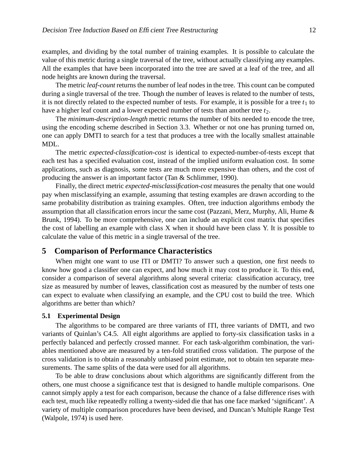examples, and dividing by the total number of training examples. It is possible to calculate the value of this metric during a single traversal of the tree, without actually classifying any examples. All the examples that have been incorporated into the tree are saved at a leaf of the tree, and all node heights are known during the traversal.

The metric *leaf-count* returns the number of leaf nodes in the tree. This count can be computed during a single traversal of the tree. Though the number of leaves is related to the number of tests, it is not directly related to the expected number of tests. For example, it is possible for a tree  $t_1$  to have a higher leaf count and a lower expected number of tests than another tree  $t_2$ .

The *minimum-description-length* metric returns the number of bits needed to encode the tree, using the encoding scheme described in Section 3.3. Whether or not one has pruning turned on, one can apply DMTI to search for a test that produces a tree with the locally smallest attainable MDL.

The metric *expected-classification-cost* is identical to expected-number-of-tests except that each test has a specified evaluation cost, instead of the implied uniform evaluation cost. In some applications, such as diagnosis, some tests are much more expensive than others, and the cost of producing the answer is an important factor (Tan & Schlimmer, 1990).

Finally, the direct metric *expected-misclassification-cost* measures the penalty that one would pay when misclassifying an example, assuming that testing examples are drawn according to the same probability distribution as training examples. Often, tree induction algorithms embody the assumption that all classification errors incur the same cost (Pazzani, Merz, Murphy, Ali, Hume & Brunk, 1994). To be more comprehensive, one can include an explicit cost matrix that specifies the cost of labelling an example with class X when it should have been class Y. It is possible to calculate the value of this metric in a single traversal of the tree.

# **5 Comparison of Performance Characteristics**

When might one want to use ITI or DMTI? To answer such a question, one first needs to know how good a classifier one can expect, and how much it may cost to produce it. To this end, consider a comparison of several algorithms along several criteria: classification accuracy, tree size as measured by number of leaves, classification cost as measured by the number of tests one can expect to evaluate when classifying an example, and the CPU cost to build the tree. Which algorithms are better than which?

### **5.1 Experimental Design**

The algorithms to be compared are three variants of ITI, three variants of DMTI, and two variants of Quinlan's C4.5. All eight algorithms are applied to forty-six classification tasks in a perfectly balanced and perfectly crossed manner. For each task-algorithm combination, the variables mentioned above are measured by a ten-fold stratified cross validation. The purpose of the cross validation is to obtain a reasonably unbiased point estimate, not to obtain ten separate measurements. The same splits of the data were used for all algorithms.

To be able to draw conclusions about which algorithms are significantly different from the others, one must choose a significance test that is designed to handle multiple comparisons. One cannot simply apply a test for each comparison, because the chance of a false difference rises with each test, much like repeatedly rolling a twenty-sided die that has one face marked 'significant'. A variety of multiple comparison procedures have been devised, and Duncan's Multiple Range Test (Walpole, 1974) is used here.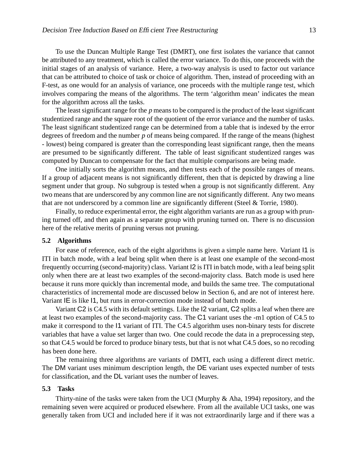To use the Duncan Multiple Range Test (DMRT), one first isolates the variance that cannot be attributed to any treatment, which is called the error variance. To do this, one proceeds with the initial stages of an analysis of variance. Here, a two-way analysis is used to factor out variance that can be attributed to choice of task or choice of algorithm. Then, instead of proceeding with an F-test, as one would for an analysis of variance, one proceeds with the multiple range test, which involves comparing the means of the algorithms. The term 'algorithm mean' indicates the mean for the algorithm across all the tasks.

The least significant range for the *p* means to be compared is the product of the least significant studentized range and the square root of the quotient of the error variance and the number of tasks. The least significant studentized range can be determined from a table that is indexed by the error degrees of freedom and the number *p* of means being compared. If the range of the means (highest - lowest) being compared is greater than the corresponding least significant range, then the means are presumed to be significantly different. The table of least significant studentized ranges was computed by Duncan to compensate for the fact that multiple comparisons are being made.

One initially sorts the algorithm means, and then tests each of the possible ranges of means. If a group of adjacent means is not significantly different, then that is depicted by drawing a line segment under that group. No subgroup is tested when a group is not significantly different. Any two means that are underscored by any common line are not significantly different. Any two means that are not underscored by a common line are significantly different (Steel & Torrie, 1980).

Finally, to reduce experimental error, the eight algorithm variants are run as a group with pruning turned off, and then again as a separate group with pruning turned on. There is no discussion here of the relative merits of pruning versus not pruning.

### **5.2 Algorithms**

For ease of reference, each of the eight algorithms is given a simple name here. Variant 11 is ITI in batch mode, with a leaf being split when there is at least one example of the second-most frequently occurring (second-majority) class. Variant I2 isITI in batch mode, with a leaf being split only when there are at least two examples of the second-majority class. Batch mode is used here because it runs more quickly than incremental mode, and builds the same tree. The computational characteristics of incremental mode are discussed below in Section 6, and are not of interest here. Variant IE is like I1, but runs in error-correction mode instead of batch mode.

Variant C2 is C4.5 with its default settings. Like the I2 variant, C2 splits a leaf when there are at least two examples of the second-majority cass. The C1 variant uses the -m1 option of C4.5 to make it correspond to the  $11$  variant of ITI. The C4.5 algorithm uses non-binary tests for discrete variables that have a value set larger than two. One could recode the data in a preprocessing step, so that C4.5 would be forced to produce binary tests, but that is not what C4.5 does, so no recoding has been done here.

The remaining three algorithms are variants of DMTI, each using a different direct metric. The DM variant uses minimum description length, the DE variant uses expected number of tests for classification, and the DL variant uses the number of leaves.

### **5.3 Tasks**

Thirty-nine of the tasks were taken from the UCI (Murphy & Aha, 1994) repository, and the remaining seven were acquired or produced elsewhere. From all the available UCI tasks, one was generally taken from UCI and included here if it was not extraordinarily large and if there was a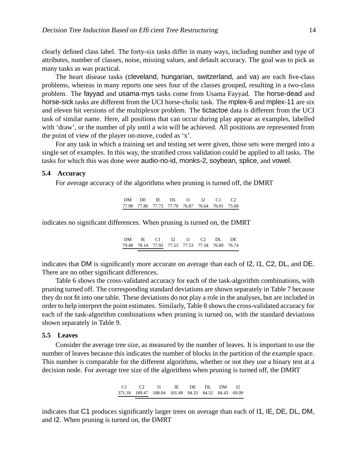clearly defined class label. The forty-six tasks differ in many ways, including number and type of attributes, number of classes, noise, missing values, and default accuracy. The goal was to pick as many tasks as was practical.

The heart disease tasks (cleveland, hungarian, switzerland, and va) are each five-class problems, whereas in many reports one sees four of the classes grouped, resulting in a two-class problem. The fayyad and usama-mys tasks come from Usama Fayyad. The horse-dead and horse-sick tasks are different from the UCI horse-cholic task. The mplex-6 and mplex-11 are six and eleven bit versions of the multiplexor problem. The tictactoe data is different from the UCI task of similar name. Here, all positions that can occur during play appear as examples, labelled with 'draw', or the number of ply until a win will be achieved. All positions are represented from the point of view of the player on-move, coded as 'x'.

For any task in which a training set and testing set were given, those sets were merged into a single set of examples. In this way, the stratified cross validation could be applied to all tasks. The tasks for which this was done were audio-no-id, monks-2, soybean, splice, and vowel.

### **5.4 Accuracy**

For average accuracy of the algorithms when pruning is turned off, the DMRT

DM DE IE DL I1 I2 C1 C2 77.98 77.86 77.73 77.70 76.87 76.64 76.01 75.68

indicates no significant differences. When pruning is turned on, the DMRT

DM IE C1 I2 I1 C2 DL DE 79.48 78.14 77.92 77.53 77.53 77.34 76.89 76.74

indicates that DM is significantly more accurate on average than each of I2, I1, C2, DL, and DE. There are no other significant differences.

Table 6 shows the cross-validated accuracy for each of the task-algorithm combinations, with pruning turned off. The corresponding standard deviations are shown separately in Table 7 because they do not fit into one table. These deviations do not play a role in the analyses, but are included in order to help interpret the point estimates. Similarly, Table 8 showsthe cross-validated accuracy for each of the task-algorithm combinations when pruning is turned on, with the standard deviations shown separately in Table 9.

### **5.5 Leaves**

Consider the average tree size, as measured by the number of leaves. It is important to use the number of leaves because this indicates the number of blocks in the partition of the example space. This number is comparable for the different algorithms, whether or not they use a binary test at a decision node. For average tree size of the algorithms when pruning is turned off, the DMRT

> C1 C2 I1 IE DE DL DM I2 371.18 189.47 108.04 101.49 94.33 84.52 84.43 69.09

indicates that C1 produces significantly larger trees on average than each of I1, IE, DE, DL, DM, and I2. When pruning is turned on, the DMRT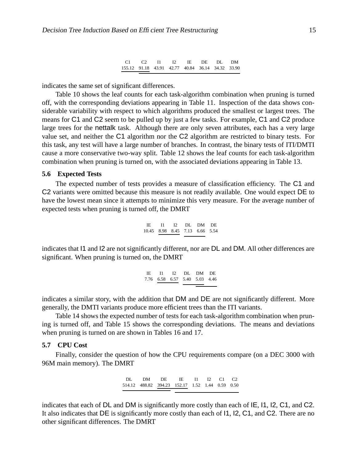C1 C2 I1 I2 IE DE DL DM 155.12 91.18 43.91 42.77 40.84 36.14 34.32 33.90

indicates the same set of significant differences.

Table 10 shows the leaf counts for each task-algorithm combination when pruning is turned off, with the corresponding deviations appearing in Table 11. Inspection of the data shows considerable variability with respect to which algorithms produced the smallest or largest trees. The means for C1 and C2 seem to be pulled up by just a few tasks. For example, C1 and C2 produce large trees for the nettalk task. Although there are only seven attributes, each has a very large value set, and neither the C1 algorithm nor the C2 algorithm are restricted to binary tests. For this task, any test will have a large number of branches. In contrast, the binary tests of ITI/DMTI cause a more conservative two-way split. Table 12 shows the leaf counts for each task-algorithm combination when pruning is turned on, with the associated deviations appearing in Table 13.

### **5.6 Expected Tests**

The expected number of tests provides a measure of classification efficiency. The C1 and C2 variants were omitted because this measure is not readily available. One would expect DE to have the lowest mean since it attempts to minimize this very measure. For the average number of expected tests when pruning is turned off, the DMRT

IE I1 I2 DL DM DE 10.45 8.98 8.45 7.13 6.66 5.54

indicates that I1 and I2 are not significantly different, nor are DL and DM. All other differences are significant. When pruning is turned on, the DMRT

IE I1 I2 DL DM DE 7.76 6.58 6.57 5.40 5.03 4.46

indicates a similar story, with the addition that DM and DE are not significantly different. More generally, the DMTI variants produce more efficient trees than the ITI variants.

Table 14 shows the expected number of tests for each task-algorithm combination when pruning is turned off, and Table 15 shows the corresponding deviations. The means and deviations when pruning is turned on are shown in Tables 16 and 17.

### **5.7 CPU Cost**

Finally, consider the question of how the CPU requirements compare (on a DEC 3000 with 96M main memory). The DMRT

> DL DM DE IE I1 I2 C1 C2 514.12 488.82 394.23 152.17 1.52 1.44 0.59 0.50

indicates that each of DL and DM is significantly more costly than each of IE, I1, I2, C1, and C2. It also indicates that DE is significantly more costly than each of I1, I2, C1, and C2. There are no other significant differences. The DMRT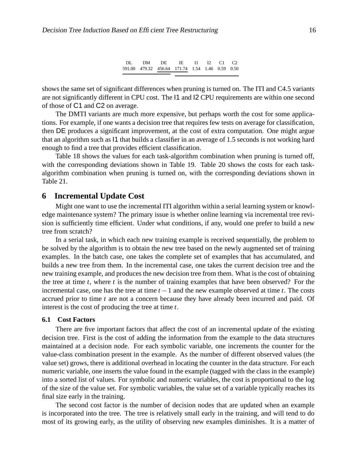DL DM DE IE I1 I2 C1 C2 591.00 479.32 456.64 171.74 1.54 1.46 0.59 0.50

shows the same set of significant differences when pruning is turned on. The ITI and C4.5 variants are not significantly different in CPU cost. The  $11$  and  $12$  CPU requirements are within one second of those of C1 and C2 on average.

The DMTI variants are much more expensive, but perhaps worth the cost for some applications. For example, if one wants a decision tree that requires few tests on average for classification, then DE produces a significant improvement, at the cost of extra computation. One might argue that an algorithm such as I1 that builds a classifier in an average of 1.5 seconds is not working hard enough to find a tree that provides efficient classification.

Table 18 shows the values for each task-algorithm combination when pruning is turned off, with the corresponding deviations shown in Table 19. Table 20 shows the costs for each taskalgorithm combination when pruning is turned on, with the corresponding deviations shown in Table 21.

# **6 Incremental Update Cost**

Might one want to use the incremental ITI algorithm within a serial learning system or knowledge maintenance system? The primary issue is whether online learning via incremental tree revision is sufficiently time efficient. Under what conditions, if any, would one prefer to build a new tree from scratch?

In a serial task, in which each new training example is received sequentially, the problem to be solved by the algorithm is to obtain the new tree based on the newly augmented set of training examples. In the batch case, one takes the complete set of examples that has accumulated, and builds a new tree from them. In the incremental case, one takes the current decision tree and the new training example, and produces the new decision tree from them. What is the cost of obtaining the tree at time *t*, where *t* is the number of training examples that have been observed? For the incremental case, one has the tree at time  $t - 1$  and the new example observed at time  $t$ . The costs accrued prior to time *t* are not a concern because they have already been incurred and paid. Of interest is the cost of producing the tree at time *t*.

### **6.1 Cost Factors**

There are five important factors that affect the cost of an incremental update of the existing decision tree. First is the cost of adding the information from the example to the data structures maintained at a decision node. For each symbolic variable, one increments the counter for the value-class combination present in the example. As the number of different observed values (the value set) grows, there is additional overhead in locating the counter in the data structure. For each numeric variable, one inserts the value found in the example (tagged with the class in the example) into a sorted list of values. For symbolic and numeric variables, the cost is proportional to the log of the size of the value set. For symbolic variables, the value set of a variable typically reaches its final size early in the training.

The second cost factor is the number of decision nodes that are updated when an example is incorporated into the tree. The tree is relatively small early in the training, and will tend to do most of its growing early, as the utility of observing new examples diminishes. It is a matter of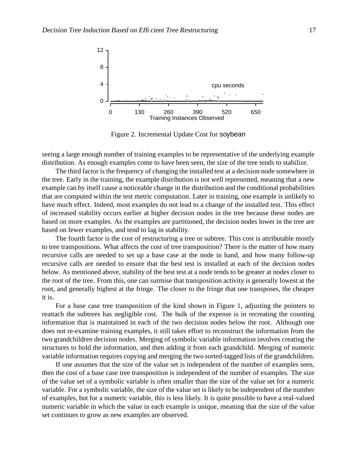

Figure 2. Incremental Update Cost for soybean

seeing a large enough number of training examples to be representative of the underlying example distribution. As enough examples come to have been seen, the size of the tree tends to stabilize.

The third factor is the frequency of changing the installed test at a decision node somewhere in the tree. Early in the training, the example distribution is not well represented, meaning that a new example can by itself cause a noticeable change in the distribution and the conditional probabilities that are computed within the test metric computation. Later in training, one example is unlikely to have much effect. Indeed, most examples do not lead to a change of the installed test. This effect of increased stability occurs earlier at higher decision nodes in the tree because these nodes are based on more examples. As the examples are partitioned, the decision nodes lower in the tree are based on fewer examples, and tend to lag in stability.

The fourth factor is the cost of restructuring a tree or subtree. This cost is attributable mostly to tree transpositions. What affects the cost of tree transposition? There is the matter of how many recursive calls are needed to set up a base case at the node in hand, and how many follow-up recursive calls are needed to ensure that the best test is installed at each of the decision nodes below. As mentioned above, stability of the best test at a node tends to be greater at nodes closer to the root of the tree. From this, one can surmise that transposition activity is generally lowest at the root, and generally highest at the fringe. The closer to the fringe that one transposes, the cheaper it is.

For a base case tree transposition of the kind shown in Figure 1, adjusting the pointers to reattach the subtrees has negligible cost. The bulk of the expense is in recreating the counting information that is maintained in each of the two decision nodes below the root. Although one does not re-examine training examples, it still takes effort to reconstruct the information from the two grandchildren decision nodes. Merging of symbolic variable information involves creating the structures to hold the information, and then adding it from each grandchild. Merging of numeric variable information requires copying and merging the two sorted-tagged lists of the grandchildren.

If one assumes that the size of the value set is independent of the number of examples seen, then the cost of a base case tree transposition is independent of the number of examples. The size of the value set of a symbolic variable is often smaller than the size of the value set for a numeric variable. For a symbolic variable, the size of the value set is likely to be independent of the number of examples, but for a numeric variable, this is less likely. It is quite possible to have a real-valued numeric variable in which the value in each example is unique, meaning that the size of the value set continues to grow as new examples are observed.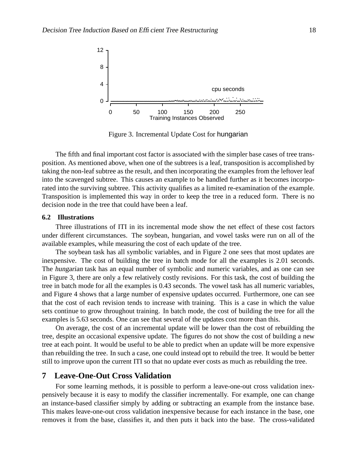

Figure 3. Incremental Update Cost for hungarian

The fifth and final important cost factor is associated with the simpler base cases of tree transposition. As mentioned above, when one of the subtrees is a leaf, transposition is accomplished by taking the non-leaf subtree as the result, and then incorporating the examples from the leftover leaf into the scavenged subtree. This causes an example to be handled further as it becomes incorporated into the surviving subtree. This activity qualifies as a limited re-examination of the example. Transposition is implemented this way in order to keep the tree in a reduced form. There is no decision node in the tree that could have been a leaf.

### **6.2 Illustrations**

Three illustrations of ITI in its incremental mode show the net effect of these cost factors under different circumstances. The soybean, hungarian, and vowel tasks were run on all of the available examples, while measuring the cost of each update of the tree.

The soybean task has all symbolic variables, and in Figure 2 one sees that most updates are inexpensive. The cost of building the tree in batch mode for all the examples is 2.01 seconds. The hungarian task has an equal number of symbolic and numeric variables, and as one can see in Figure 3, there are only a few relatively costly revisions. For this task, the cost of building the tree in batch mode for all the examples is 0.43 seconds. The vowel task has all numeric variables, and Figure 4 shows that a large number of expensive updates occurred. Furthermore, one can see that the cost of each revision tends to increase with training. This is a case in which the value sets continue to grow throughout training. In batch mode, the cost of building the tree for all the examples is 5.63 seconds. One can see that several of the updates cost more than this.

On average, the cost of an incremental update will be lower than the cost of rebuilding the tree, despite an occasional expensive update. The figures do not show the cost of building a new tree at each point. It would be useful to be able to predict when an update will be more expensive than rebuilding the tree. In such a case, one could instead opt to rebuild the tree. It would be better still to improve upon the current ITI so that no update ever costs as much as rebuilding the tree.

# **7 Leave-One-Out Cross Validation**

For some learning methods, it is possible to perform a leave-one-out cross validation inexpensively because it is easy to modify the classifier incrementally. For example, one can change an instance-based classifier simply by adding or subtracting an example from the instance base. This makes leave-one-out cross validation inexpensive because for each instance in the base, one removes it from the base, classifies it, and then puts it back into the base. The cross-validated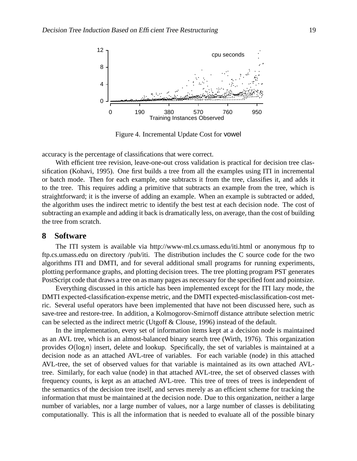

Figure 4. Incremental Update Cost for vowel

accuracy is the percentage of classifications that were correct.

With efficient tree revision, leave-one-out cross validation is practical for decision tree classification (Kohavi, 1995). One first builds a tree from all the examples using ITI in incremental or batch mode. Then for each example, one subtracts it from the tree, classifies it, and adds it to the tree. This requires adding a primitive that subtracts an example from the tree, which is straightforward; it is the inverse of adding an example. When an example is subtracted or added, the algorithm uses the indirect metric to identify the best test at each decision node. The cost of subtracting an example and adding it back is dramatically less, on average, than the cost of building the tree from scratch.

### **8 Software**

The ITI system is available via http://www-ml.cs.umass.edu/iti.html or anonymous ftp to ftp.cs.umass.edu on directory /pub/iti. The distribution includes the C source code for the two algorithms ITI and DMTI, and for several additional small programs for running experiments, plotting performance graphs, and plotting decision trees. The tree plotting program PST generates PostScript code that draws a tree on as many pages as necessary for the specified font and pointsize.

Everything discussed in this article has been implemented except for the ITI lazy mode, the DMTI expected-classification-expense metric, and the DMTI expected-misclassification-cost metric. Several useful operators have been implemented that have not been discussed here, such as save-tree and restore-tree. In addition, a Kolmogorov-Smirnoff distance attribute selection metric can be selected as the indirect metric (Utgoff & Clouse, 1996) instead of the default.

In the implementation, every set of information items kept at a decision node is maintained as an AVL tree, which is an almost-balanced binary search tree (Wirth, 1976). This organization provides  $O(\log n)$  insert, delete and lookup. Specifically, the set of variables is maintained at a decision node as an attached AVL-tree of variables. For each variable (node) in this attached AVL-tree, the set of observed values for that variable is maintained as its own attached AVLtree. Similarly, for each value (node) in that attached AVL-tree, the set of observed classes with frequency counts, is kept as an attached AVL-tree. This tree of trees of trees is independent of the semantics of the decision tree itself, and serves merely as an efficient scheme for tracking the information that must be maintained at the decision node. Due to this organization, neither a large number of variables, nor a large number of values, nor a large number of classes is debilitating computationally. This is all the information that is needed to evaluate all of the possible binary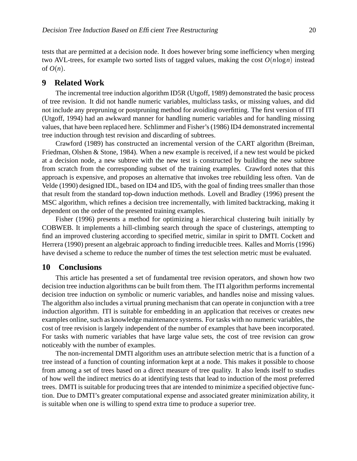tests that are permitted at a decision node. It does however bring some inefficiency when merging two AVL-trees, for example two sorted lists of tagged values, making the cost  $O(n \log n)$  instead of  $O(n)$ .

# **9 Related Work**

The incremental tree induction algorithm ID5R (Utgoff, 1989) demonstrated the basic process of tree revision. It did not handle numeric variables, multiclass tasks, or missing values, and did not include any prepruning or postpruning method for avoiding overfitting. The first version of ITI (Utgoff, 1994) had an awkward manner for handling numeric variables and for handling missing values, that have been replaced here. Schlimmer and Fisher's(1986) ID4 demonstrated incremental tree induction through test revision and discarding of subtrees.

Crawford (1989) has constructed an incremental version of the CART algorithm (Breiman, Friedman, Olshen & Stone, 1984). When a new example is received, if a new test would be picked at a decision node, a new subtree with the new test is constructed by building the new subtree from scratch from the corresponding subset of the training examples. Crawford notes that this approach is expensive, and proposes an alternative that invokes tree rebuilding less often. Van de Velde (1990) designed IDL, based on ID4 and ID5, with the goal of finding trees smaller than those that result from the standard top-down induction methods. Lovell and Bradley (1996) present the MSC algorithm, which refines a decision tree incrementally, with limited backtracking, making it dependent on the order of the presented training examples.

Fisher (1996) presents a method for optimizing a hierarchical clustering built initially by COBWEB. It implements a hill-climbing search through the space of clusterings, attempting to find an improved clustering according to specified metric, similar in spirit to DMTI. Cockett and Herrera (1990) present an algebraic approach to finding irreducible trees. Kalles and Morris (1996) have devised a scheme to reduce the number of times the test selection metric must be evaluated.

# **10 Conclusions**

This article has presented a set of fundamental tree revision operators, and shown how two decision tree induction algorithms can be built from them. The ITI algorithm performs incremental decision tree induction on symbolic or numeric variables, and handles noise and missing values. The algorithm also includes a virtual pruning mechanism that can operate in conjunction with a tree induction algorithm. ITI is suitable for embedding in an application that receives or creates new examples online, such as knowledge maintenance systems. For tasks with no numeric variables, the cost of tree revision is largely independent of the number of examples that have been incorporated. For tasks with numeric variables that have large value sets, the cost of tree revision can grow noticeably with the number of examples.

The non-incremental DMTI algorithm uses an attribute selection metric that is a function of a tree instead of a function of counting information kept at a node. This makes it possible to choose from among a set of trees based on a direct measure of tree quality. It also lends itself to studies of how well the indirect metrics do at identifying tests that lead to induction of the most preferred trees. DMTI is suitable for producing trees that are intended to minimize a specified objective function. Due to DMTI's greater computational expense and associated greater minimization ability, it is suitable when one is willing to spend extra time to produce a superior tree.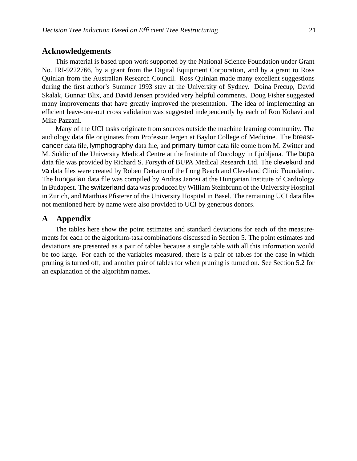# **Acknowledgements**

This material is based upon work supported by the National Science Foundation under Grant No. IRI-9222766, by a grant from the Digital Equipment Corporation, and by a grant to Ross Quinlan from the Australian Research Council. Ross Quinlan made many excellent suggestions during the first author's Summer 1993 stay at the University of Sydney. Doina Precup, David Skalak, Gunnar Blix, and David Jensen provided very helpful comments. Doug Fisher suggested many improvements that have greatly improved the presentation. The idea of implementing an efficient leave-one-out cross validation was suggested independently by each of Ron Kohavi and Mike Pazzani.

Many of the UCI tasks originate from sources outside the machine learning community. The audiology data file originates from Professor Jergen at Baylor College of Medicine. The breastcancer data file, lymphography data file, and primary-tumor data file come from M. Zwitter and M. Soklic of the University Medical Centre at the Institute of Oncology in Ljubljana. The bupa data file was provided by Richard S. Forsyth of BUPA Medical Research Ltd. The cleveland and va data files were created by Robert Detrano of the Long Beach and Cleveland Clinic Foundation. The hungarian data file was compiled by Andras Janosi at the Hungarian Institute of Cardiology in Budapest. The switzerland data was produced by William Steinbrunn of the University Hospital in Zurich, and Matthias Pfisterer of the University Hospital in Basel. The remaining UCI data files not mentioned here by name were also provided to UCI by generous donors.

# **A Appendix**

The tables here show the point estimates and standard deviations for each of the measurements for each of the algorithm-task combinations discussed in Section 5. The point estimates and deviations are presented as a pair of tables because a single table with all this information would be too large. For each of the variables measured, there is a pair of tables for the case in which pruning is turned off, and another pair of tables for when pruning is turned on. See Section 5.2 for an explanation of the algorithm names.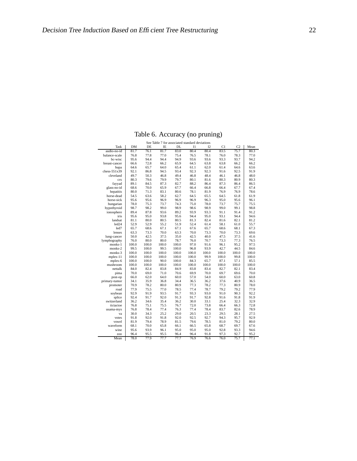Table 6. Accuracy (no pruning)

|                       |                |                | See Table 7 for associated standard deviations |                |               |               |                |                |                |
|-----------------------|----------------|----------------|------------------------------------------------|----------------|---------------|---------------|----------------|----------------|----------------|
| Task                  | DM             | DE             | IE                                             | DL             | $_{11}$       | I2            | C1             | C <sub>2</sub> | Mean           |
| audio-no-id           | 81.7           | 76.1           | 81.7                                           | 83.0           | 80.4          | 80.4          | 83.5           | 75.7           | 80.3           |
| balance-scale         | 76.8           | 77.8           | 77.0                                           | 75.4           | 76.5          | 78.1          | 76.0           | 78.3           | 77.0           |
| bc-wisc               | 95.6           | 94.4           | 94.4                                           | 94.9           | 93.6          | 93.6          | 93.3           | 93.7           | 94.2           |
| breast-cancer         | 66.6           | 72.8           | 66.2                                           | 65.9           | 64.5          | 63.8          | 63.8           | 66.2           | 66.2           |
| bupa                  | 64.6           | 65.7           | 64.0                                           | 65.4           | 61.1          | 62.0          | 61.4           | 64.6           | 63.6           |
| chess- $551x39$       | 92.1           | 86.8           | 94.5                                           | 93.4           | 92.3          | 92.3          | 91.6           | 92.5           | 91.9           |
| cleveland             | 49.7           | 50.3           | 46.8                                           | 49.4           | 46.8          | 48.4          | 46.1           | 46.8           | 48.0           |
| <b>CTX</b>            | 80.3           | 79.6           | 79.9                                           | 79.7           | 80.1          | 81.6          | 80.3           | 80.9           | 80.3           |
| fayyad                | 89.1           | 84.5           | 87.3                                           | 82.7           | 88.2          | 86.4          | 87.3           | 86.4           | 86.5           |
| glass-no-id           | 68.6           | 70.0           | 65.9                                           | 67.7           | 66.4          | 66.8          | 66.4           | 67.7           | 67.4           |
| hepatitis             | 80.0           | 71.3           | 83.1                                           | 80.6           | 78.1          | 81.9          | 76.9           | 76.9           | 78.6           |
| horse-dead            | 54.5           | 63.6           | 58.2                                           | 62.7           | 64.5          | 65.5          | 64.5           | 61.8           | 61.9           |
| horse-sick            | 95.6           | 95.6           | 96.9                                           | 96.9           | 96.9          | 96.3          | 95.0           | 95.6           | 96.1           |
| hungarian             | 78.0           | 75.3           | 73.7                                           | 74.3           | 75.0          | 78.0          | 73.7           | 75.7           | 75.5           |
| hypothyroid           | 98.7           | 98.2           | 99.0                                           | 98.9           | 98.6          | 98.9          | 99.0           | 99.1           | 98.8           |
| ionosphere            | 89.4           | 87.8           | 93.6                                           | 89.2           | 93.9          | 93.3          | 91.1           | 91.4           | 91.2           |
| iris                  | 95.6           | 95.0           | 93.8                                           | 95.6           | 94.4          | 95.0          | 93.1           | 94.4           | 94.6           |
| landsat               | 81.1           | 80.0           | 80.5                                           | 80.5           | 81.3          | 82.4          | 81.6           | 82.1           | 81.2           |
| led <sub>24</sub>     | 52.9           | 52.9           | 55.2                                           | 51.9           | 52.4          | 61.4          | 58.1           | 61.0           | 55.7           |
| led7                  | 65.7           | 68.6           | 67.1                                           | 67.1           | 67.6          | 65.7          | 68.6           | 68.1           | 67.3           |
| lenses                | 63.3           | 73.3           | 70.0                                           | 63.3           | 70.0          | 73.3          | 70.0           | 73.3           | 69.6           |
| lung-cancer           | 50.0           | 42.5           | 37.5                                           | 35.0           | 42.5          | 40.0          | 47.5           | 37.5           | 41.6           |
| lymphography          | 76.0           | 80.0           | 80.0                                           | 78.7           | 76.0          | 70.7          | 73.3           | 77.3           | 76.5           |
| monks-1               | 100.0          | 100.0          | 100.0                                          | 100.0          | 97.0          | 91.6          | 96.1           | 95.2           | 97.5           |
| monks-2               | 99.5           | 100.0          | 99.5<br>100.0                                  | 100.0          | 96.8          | 93.9          | 42.7           | 44.5           | 84.6           |
| monks-3               | 100.0<br>100.0 | 100.0          | 100.0                                          | 100.0          | 100.0         | 100.0<br>99.9 | 100.0<br>100.0 | 100.0<br>99.8  | 100.0<br>100.0 |
| $mplex-11$<br>mplex-6 | 100.0          | 100.0<br>100.0 | 90.0                                           | 100.0<br>100.0 | 100.0<br>84.3 | 65.7          | 87.1           | 57.1           | 85.5           |
| mushroom              | 100.0          | 100.0          | 100.0                                          | 100.0          | 100.0         | 100.0         |                | 100.0          | 100.0          |
| nettalk               | 84.0           | 82.4           | 83.8                                           | 84.9           | 83.8          | 83.4          | 100.0<br>82.7  | 82.1           | 83.4           |
| pima                  | 70.0           | 69.0           | 71.0                                           | 70.6           | 69.9          | 70.0          | 69.7           | 69.6           | 70.0           |
| post-op               | 66.0           | 62.0           | 64.0                                           | 60.0           | 57.0          | 54.0          | 60.0           | 63.0           | 60.8           |
| primary-tumor         | 34.1           | 35.9           | 36.8                                           | 34.4           | 36.5          | 36.2          | 37.6           | 40.9           | 36.5           |
| promoter              | 70.9           | 78.2           | 80.0                                           | 80.9           | 77.3          | 78.2          | 77.3           | 80.9           | 78.0           |
| road                  | 77.9           | 75.5           | 77.0                                           | 78.5           | 77.4          | 78.7          | 79.2           | 79.2           | 77.9           |
| soybean               | 92.9           | 91.9           | 93.5                                           | 91.7           | 93.3          | 93.0          | 91.0           | 90.3           | 92.2           |
| splice                | 92.4           | 91.7           | 92.0                                           | 91.3           | 91.7          | 92.8          | 91.6           | 91.8           | 91.9           |
| switzerland           | 36.2           | 34.6           | 35.4                                           | 36.2           | 30.0          | 33.1          | 25.4           | 32.3           | 32.9           |
| tictactoe             | 76.8           | 75.1           | 75.5                                           | 76.7           | 72.0          | 73.8          | 66.4           | 66.3           | 72.8           |
| usama-mys             | 76.8           | 78.4           | 77.4                                           | 76.3           | 77.4          | 78.4          | 83.7           | 82.6           | 78.9           |
| va                    | 30.0           | 34.3           | 25.2                                           | 29.0           | 20.5          | 23.3          | 29.5           | 28.1           | 27.5           |
| votes                 | 91.8           | 92.0           | 91.8                                           | 92.0           | 92.5          | 92.7          | 94.3           | 95.7           | 92.9           |
| vowel                 | 81.9           | 79.4           | 78.9                                           | 81.5           | 79.6          | 78.5          | 81.0           | 79.2           | 80.0           |
| waveform              | 68.1           | 70.0           | 65.8                                           | 66.1           | 66.5          | 65.8          | 68.7           | 69.7           | 67.6           |
| wine                  | 95.6           | 93.9           | 96.1                                           | 95.0           | 95.0          | 95.0          | 92.8           | 93.3           | 94.6           |
| ZOO                   | 96.4           | 95.5           | 95.5                                           | 96.4           | 96.4          | 91.8          | 97.3           | 92.7           | 95.2           |
| Mean                  | 78.0           | 77.9           | 77.7                                           | 77.7           | 76.9          | 76.6          | 76.0           | 75.7           | 77.1           |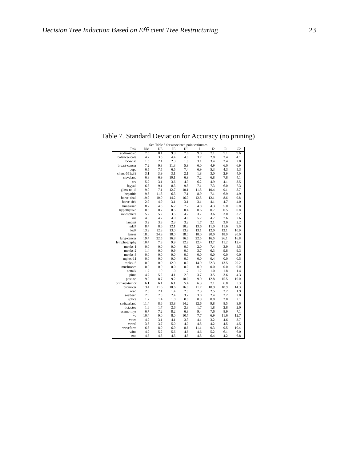|                   |      |            |            |            | See Table 6 for associated point estimates |            |            |             |
|-------------------|------|------------|------------|------------|--------------------------------------------|------------|------------|-------------|
| Task              | DM   | DE         | IE         | DL         | 11                                         | I2         | C1         | C2          |
| audio-no-id       | 7.5  | 8.1        | 9.9        | 7.6        | 9.0                                        | 7.1        | 5.1        | 9.6         |
| balance-scale     | 4.2  | 3.5        | 4.4        | 4.0        | 3.7                                        | 2.8        | 3.4        | 4.1         |
| bc-wisc           | 1.5  | 2.1        | 2.3        | 1.8        | 3.1                                        | 3.4        | 2.4        | 2.8         |
| breast-cancer     | 7.2  | 9.3        | 11.3       | 5.9        | 6.0                                        | 4.9        | 6.0        | 6.9         |
| bupa              | 6.5  | 7.5        | 6.5        | 7.4        | 6.9                                        | 5.3        | 4.3        | 5.3         |
| chess- $551x39$   | 3.1  | 3.9        | 3.1        | 2.1        | 1.8                                        | 3.0        | 2.9        | 4.0         |
| cleveland         | 6.8  | 6.9        | 10.1       | 6.9        | 7.2                                        | 6.8        | 7.8        | 4.1         |
| crx               | 5.2  | 3.1        | 3.6        | 4.9        | 6.2                                        | 4.9        | 4.1        | 3.5         |
| fayyad            | 6.8  | 9.1        | 8.3        | 9.5        | 7.1                                        | 7.3        | 6.0        | 7.3         |
| glass-no-id       | 9.0  | 7.1        | 12.7       | 10.1       | 11.5                                       | 10.4       | 9.1        | 8.7         |
| hepatitis         | 9.6  | 11.3       | 6.3        | 7.1        | 8.9                                        | 7.1        | 6.9        | 4.9         |
| horse-dead        | 19.9 | 10.0       | 14.2       | 16.0       | 12.5                                       | 12.1       | 8.6        | 9.8         |
| horse-sick        | 2.9  | 4.9        | 3.1        | 3.1        | 3.1                                        | 4.1        | 4.7        | 4.0         |
| hungarian         | 8.7  | 4.8        | 6.2        | 7.2        | 4.8                                        | 4.3        | 5.0        | 6.8         |
| hypothyroid       | 0.6  | 0.7        | 0.5        | 0.4        | 0.6                                        | 0.7        | 0.5        | 0.8         |
| ionosphere        | 5.2  | 5.2        | 3.5        | 4.2        | 3.7                                        | 3.6        | 3.0        | 3.2         |
| iris              | 4.0  | 4.7        | 4.0        | 4.0        | 5.2                                        | 4.7        | 7.6        | 7.6         |
| landsat           | 3.2  | 3.3        | 2.3        | 3.2        | 1.7                                        | 2.1        | 3.0        | 2.2         |
| led24             | 8.4  | 8.6        | 12.1       | 10.3       | 13.6                                       | 11.0       | 11.6       | 9.0         |
| led7              | 13.9 | 12.8       | 13.0       | 13.9       | 13.1                                       | 12.0       | 12.1       | 10.9        |
| lenses            | 18.0 | 24.9       | 18.0       | 18.0       | 18.0                                       | 20.0       | 18.0       | 20.0        |
| lung-cancer       | 19.4 | 22.5       | 16.8       | 16.6       | 22.5                                       | 16.6       | 26.1       | 16.8        |
| lymphography      | 10.4 | 7.3        | 9.9        | 12.9       | 12.4                                       | 13.7       | 11.2       | 12.4        |
| monks-1           | 0.0  | 0.0        | 0.0        | 0.0        | 2.0                                        | 7.4        | 3.9        | 4.5         |
| monks-2           | 1.4  | 0.0        | 0.9        | 0.0        | 3.7                                        | 6.3        | 9.8        | 9.3         |
| monks-3           | 0.0  | 0.0        | 0.0        | 0.0        | 0.0                                        | 0.0        | 0.0        | 0.0         |
| $mplex-11$        | 0.0  | 0.0        | 0.0        | 0.0        | 0.0                                        | 0.4        | 0.0        | 0.5         |
| mplex-6           | 0.0  | 0.0        | 12.9       | 0.0        | 14.9                                       | 22.3       | 13.5       | 20.2        |
| mushroom          | 0.0  | 0.0        | 0.0        | 0.0        | 0.0                                        | 0.0        | 0.0        | 0.0         |
| nettalk           | 1.7  | 1.0        | 1.0        | 1.7        | 1.2                                        | 1.0        | 1.8        | 1.4         |
| pima              | 4.7  | 5.2        | 4.1        | 2.9        | 3.7                                        | 3.5        | 3.6        | 4.3         |
| post-op           | 9.2  | 8.7        | 9.2        | 10.0       | 9.0                                        | 12.8       | 15.5       | 10.0        |
| primary-tumor     | 6.1  | 6.1        | 6.1        | 5.4        | 6.3                                        | 7.1        | 6.8        | 5.3         |
| promoter          | 13.4 | 11.6       | 10.6       | 16.0       | 11.7                                       | 10.9       | 10.9       | 14.3        |
| road              | 2.3  | 2.1        | 1.4        | 2.9        | 2.3                                        | 2.5        | 2.2        | 1.9         |
| soybean           | 2.9  | 2.9        | 2.4        | 3.2        | 3.0                                        | 2.4        | 2.2        | 2.8         |
| splice            | 1.2  | 1.4        | 1.8        | 0.8        | 0.9                                        | 0.8        | 2.0        | 2.1         |
| switzerland       | 11.4 | 8.6        | 13.8       | 14.2       | 12.6                                       | 9.8        | 8.5        | 9.6         |
| tictactoe         | 1.6  | 1.7        | 2.6        | 2.3        | 1.7                                        | 1.8        | 2.8        | 2.0         |
| usama-mys         | 6.7  | 7.2        | 8.2        | 6.8        | 9.4                                        | 7.6        | 8.9        | 7.1         |
| va                | 10.4 | 9.0        | 8.0        | 10.7       | 7.7                                        | 6.9        | 11.6       | 12.7        |
| votes             | 4.2  | 3.1        | 4.1        | 3.3        | 4.1                                        | 3.2        | 4.6        | 3.7         |
|                   | 3.6  |            |            |            | 4.5                                        |            |            |             |
| vowel<br>waveform | 6.5  | 3.7<br>8.0 | 5.0<br>6.9 | 4.0        | 11.1                                       | 4.2<br>9.3 | 4.5        | 4.5<br>10.4 |
| wine              | 4.2  | 5.2        | 5.6        | 8.6<br>4.6 | 4.6                                        | 5.2        | 9.5<br>6.1 | 6.0         |
|                   |      |            |            |            |                                            |            |            |             |
| ZO <sub>O</sub>   | 4.5  | 4.5        | 4.5        | 4.5        | 4.5                                        | 6.4        | 4.2        | 6.8         |

Table 7. Standard Deviation for Accuracy (no pruning)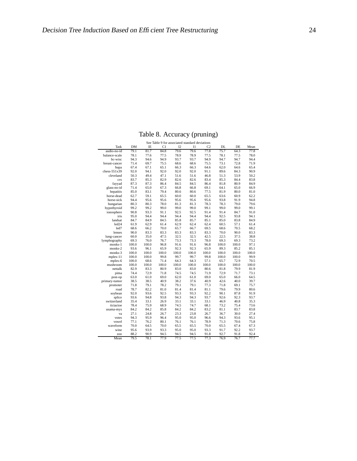Table 8. Accuracy (pruning)

|                   |       |       | See Table 9 for associated standard deviations |       |         |                |       |       |       |
|-------------------|-------|-------|------------------------------------------------|-------|---------|----------------|-------|-------|-------|
| Task              | DM    | IE.   | C1                                             | 12    | $_{11}$ | C <sub>2</sub> | DL    | DE    | Mean  |
| audio-no-id       | 79.1  | 81.7  | 84.8                                           | 79.6  | 79.6    | 77.8           | 75.7  | 64.3  | 77.8  |
| balance-scale     | 78.1  | 77.6  | 77.5                                           | 78.9  | 78.9    | 77.5           | 78.1  | 77.5  | 78.0  |
| bc-wisc           | 94.3  | 94.6  | 94.9                                           | 93.7  | 93.7    | 94.9           | 94.7  | 94.7  | 94.4  |
| breast-cancer     | 71.4  | 69.7  | 75.5                                           | 68.6  | 68.6    | 75.5           | 73.1  | 72.8  | 71.9  |
| bupa              | 67.4  | 67.1  | 65.1                                           | 66.3  | 66.3    | 64.6           | 62.0  | 64.6  | 65.4  |
| chess- $551x39$   | 92.0  | 94.1  | 92.0                                           | 92.0  | 92.0    | 91.1           | 89.6  | 84.3  | 90.9  |
| cleveland         | 50.3  | 49.4  | 47.1                                           | 51.6  | 51.6    | 46.8           | 51.3  | 53.9  | 50.2  |
| <b>CTX</b>        | 83.7  | 85.3  | 82.9                                           | 82.6  | 82.6    | 83.4           | 85.3  | 84.4  | 83.8  |
| fayyad            | 87.3  | 87.3  | 86.4                                           | 84.5  | 84.5    | 86.4           | 81.8  | 80.9  | 84.9  |
| glass-no-id       | 71.4  | 65.0  | 67.3                                           | 66.8  | 66.8    | 69.1           | 64.1  | 65.0  | 66.9  |
| hepatitis         | 85.0  | 83.1  | 79.4                                           | 80.6  | 80.6    | 77.5           | 81.9  | 80.0  | 81.0  |
| horse-dead        | 62.7  | 59.1  | 65.5                                           | 60.0  | 60.0    | 65.5           | 63.6  | 60.9  | 62.2  |
| horse-sick        | 94.4  | 95.6  | 95.6                                           | 95.6  | 95.6    | 95.6           | 93.8  | 91.9  | 94.8  |
| hungarian         | 80.3  | 80.3  | 78.0                                           | 81.3  | 81.3    | 78.3           | 78.3  | 79.0  | 79.6  |
| hypothyroid       | 99.2  | 99.2  | 99.0                                           | 99.0  | 99.0    | 99.1           | 99.0  | 99.0  | 99.1  |
| ionosphere        | 90.8  | 93.3  | 91.1                                           | 92.5  | 92.5    | 91.4           | 91.4  | 84.7  | 91.0  |
| iris              | 95.0  | 94.4  | 94.4                                           | 94.4  | 94.4    | 94.4           | 92.5  | 93.8  | 94.1  |
| landsat           | 84.7  | 84.9  | 84.5                                           | 85.8  | 85.7    | 85.1           | 85.0  | 83.8  | 84.9  |
| led <sub>24</sub> | 61.9  | 62.9  | 61.4                                           | 62.9  | 62.4    | 62.4           | 60.5  | 57.1  | 61.4  |
| led7              | 68.6  | 66.2  | 70.0                                           | 65.7  | 66.7    | 69.5           | 68.6  | 70.5  | 68.2  |
| lenses            | 90.0  | 83.3  | 83.3                                           | 83.3  | 83.3    | 83.3           | 70.0  | 90.0  | 83.3  |
| lung-cancer       | 60.0  | 35.0  | 47.5                                           | 32.5  | 32.5    | 42.5           | 22.5  | 37.5  | 38.8  |
| lymphography      | 69.3  | 76.0  | 76.7                                           | 73.3  | 73.3    | 78.0           | 69.3  | 69.3  | 73.2  |
| monks-1           | 100.0 | 100.0 | 96.8                                           | 91.6  | 91.6    | 96.8           | 100.0 | 100.0 | 97.1  |
| monks-2           | 93.6  | 96.1  | 65.9                                           | 92.3  | 92.3    | 65.9           | 89.3  | 85.2  | 85.1  |
| monks-3           | 100.0 | 100.0 | 100.0                                          | 100.0 | 100.0   | 100.0          | 100.0 | 100.0 | 100.0 |
| mplex-11          | 100.0 | 100.0 | 99.8                                           | 99.7  | 99.7    | 99.8           | 100.0 | 100.0 | 99.9  |
| mplex-6           | 100.0 | 68.6  | 71.4                                           | 64.3  | 64.3    | 57.1           | 65.7  | 72.9  | 70.5  |
| mushroom          | 100.0 | 100.0 | 100.0                                          | 100.0 | 100.0   | 100.0          | 100.0 | 100.0 | 100.0 |
| nettalk           | 82.9  | 83.3  | 80.9                                           | 83.0  | 83.0    | 80.6           | 81.8  | 79.9  | 81.9  |
| pima              | 74.4  | 72.9  | 71.8                                           | 74.5  | 74.5    | 71.9           | 72.9  | 71.7  | 73.1  |
| post-op           | 63.0  | 61.0  | 69.0                                           | 62.0  | 61.0    | 69.0           | 65.0  | 66.0  | 64.5  |
| primary-tumor     | 38.5  | 38.5  | 40.9                                           | 38.2  | 37.6    | 40.9           | 42.6  | 40.0  | 39.7  |
| promoter          | 71.8  | 79.1  | 78.2                                           | 79.1  | 79.1    | 77.3           | 71.8  | 69.1  | 75.7  |
| road              | 78.7  | 82.2  | 81.0                                           | 81.4  | 81.4    | 81.1           | 79.6  | 79.9  | 80.6  |
| soybean           | 92.0  | 93.6  | 92.5                                           | 93.3  | 93.3    | 92.2           | 90.1  | 87.8  | 91.9  |
| splice            | 93.6  | 94.8  | 93.8                                           | 94.3  | 94.3    | 93.7           | 92.6  | 92.3  | 93.7  |
| switzerland       | 35.4  | 33.1  | 26.9                                           | 33.1  | 33.1    | 33.1           | 46.9  | 40.8  | 35.3  |
| tictactoe         | 78.4  | 75.9  | 68.9                                           | 74.5  | 74.7    | 68.1           | 73.2  | 75.4  | 73.6  |
| usama-mys         | 84.2  | 84.2  | 85.8                                           | 84.2  | 84.2    | 83.2           | 81.1  | 83.7  | 83.8  |
| va                | 27.1  | 24.8  | 26.7                                           | 23.3  | 23.8    | 26.7           | 36.7  | 30.0  | 27.4  |
| votes             | 94.3  | 95.9  | 96.4                                           | 95.0  | 95.0    | 96.6           | 94.3  | 93.6  | 95.1  |
| vowel             | 77.1  | 76.2  | 80.1                                           | 76.1  | 76.1    | 78.9           | 71.3  | 70.6  | 75.8  |
| waveform          | 70.0  | 64.5  | 70.0                                           | 65.5  | 65.5    | 70.0           | 65.5  | 67.4  | 67.3  |
| wine              | 95.6  | 93.9  | 93.3                                           | 95.0  | 95.0    | 93.3           | 91.7  | 92.2  | 93.7  |
| ZO <sub>O</sub>   | 88.2  | 90.9  | 94.5                                           | 94.5  | 94.5    | 91.8           | 92.7  | 91.8  | 92.4  |
| Mean              | 79.5  | 78.1  | 77.9                                           | 77.5  | 77.5    | 77.3           | 76.9  | 76.7  | 77.7  |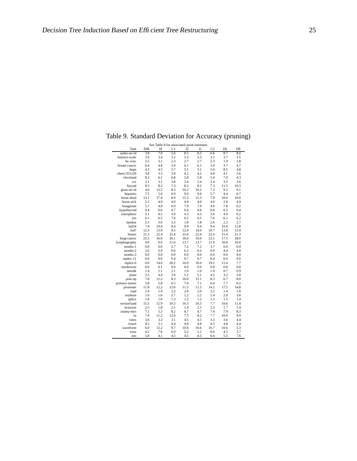|                 |      |      |      | See Table 8 for associated point estimates |      |                |      |      |
|-----------------|------|------|------|--------------------------------------------|------|----------------|------|------|
| Task            | DM   | IE   | C1   | 12                                         | 11   | C <sub>2</sub> | DL   | DE   |
| audio-no-id     | 3.8  | 7.0  | 5.6  | 8.5                                        | 8.5  | 6.6            | 8.7  | 8.0  |
| balance-scale   | 3.6  | 3.4  | 3.2  | 3.3                                        | 3.3  | 3.2            | 3.7  | 3.5  |
| bc-wisc         | 2.5  | 3.1  | 2.3  | 2.7                                        | 2.7  | 2.3            | 1.9  | 1.8  |
| breast-cancer   | 6.4  | 4.8  | 3.9  | 6.1                                        | 6.1  | 3.9            | 3.7  | 4.7  |
| bupa            | 4.3  | 4.5  | 5.7  | 5.1                                        | 5.1  | 5.6            | 8.5  | 4.8  |
| chess- $551x39$ | 3.8  | 3.5  | 3.9  | 4.2                                        | 4.2  | 4.8            | 4.1  | 5.6  |
| cleveland       | 8.2  | 6.1  | 6.8  | 5.8                                        | 5.8  | 5.4            | 7.0  | 4.3  |
| <b>CTX</b>      | 2.1  | 3.1  | 3.8  | 2.4                                        | 2.4  | 2.4            | 3.5  | 3.6  |
| fayyad          | 8.3  | 8.3  | 7.3  | 8.2                                        | 8.2  | 7.3            | 11.5 | 10.3 |
| glass-no-id     | 4.6  | 12.2 | 8.3  | 10.2                                       | 10.2 | 7.3            | 9.2  | 9.1  |
| hepatitis       | 7.5  | 5.6  | 6.9  | 9.0                                        | 9.0  | 5.7            | 4.4  | 6.7  |
| horse-dead      | 13.1 | 17.4 | 8.9  | 15.3                                       | 15.3 | 7.9            | 10.0 | 10.0 |
| horse-sick      | 5.2  | 4.9  | 4.0  | 4.0                                        | 4.0  | 4.0            | 2.8  | 4.9  |
| hungarian       | 5.7  | 4.8  | 6.0  | 7.9                                        | 7.9  | 4.0            | 7.8  | 6.2  |
| hypothyroid     | 0.4  | 0.6  | 0.7  | 0.6                                        | 0.6  | 0.6            | 0.5  | 0.4  |
| ionosphere      | 5.1  | 4.5  | 3.0  | 4.3                                        | 4.3  | 3.6            | 4.9  | 6.2  |
| iris            | 6.1  | 6.5  | 7.6  | 6.5                                        | 6.5  | 7.6            | 6.1  | 6.2  |
| landsat         | 2.5  | 3.0  | 3.3  | 1.8                                        | 1.8  | 2.6            | 2.2  | 2.7  |
| led24           | 7.4  | 10.4 | 8.4  | 9.9                                        | 9.4  | 9.4            | 10.0 | 12.8 |
| led7            | 12.3 | 13.9 | 9.5  | 12.0                                       | 14.0 | 10.7           | 13.8 | 13.4 |
| lenses          | 21.3 | 22.4 | 22.4 | 22.4                                       | 22.4 | 22.4           | 31.4 | 21.3 |
| lung-cancer     | 25.5 | 16.6 | 26.1 | 16.0                                       | 16.0 | 22.5           | 17.5 | 28.0 |
| lymphography    | 9.0  | 9.0  | 11.6 | 13.7                                       | 13.7 | 11.9           | 10.8 | 10.0 |
| monks-1         | 0.0  | 0.0  | 3.7  | 7.2                                        | 7.2  | 3.7            | 0.0  | 0.0  |
| monks-2         | 2.6  | 2.9  | 0.0  | 6.2                                        | 6.2  | 0.0            | 4.4  | 4.0  |
| monks-3         | 0.0  | 0.0  | 0.0  | 0.0                                        | 0.0  | 0.0            | 0.0  | 0.0  |
| mplex-11        | 0.0  | 0.0  | 0.4  | 0.7                                        | 0.7  | 0.4            | 0.0  | 0.0  |
| mplex-6         | 0.0  | 14.0 | 20.2 | 16.0                                       | 16.0 | 19.2           | 11.4 | 7.7  |
| mushroom        | 0.0  | 0.1  | 0.0  | 0.0                                        | 0.0  | 0.0            | 0.0  | 0.0  |
| nettalk         | 1.4  | 1.1  | 2.1  | 1.0                                        | 1.0  | 1.9            | 0.7  | 0.9  |
| pima            | 3.3  | 4.4  | 3.9  | 5.1                                        | 5.1  | 4.2            | 3.2  | 5.0  |
| post-op         | 7.8  | 12.2 | 8.3  | 16.0                                       | 15.1 | 8.3            | 6.7  | 8.0  |
| primary-tumor   | 5.8  | 5.8  | 6.5  | 7.0                                        | 7.1  | 6.4            | 7.7  | 6.5  |
| promoter        | 11.8 | 12.2 | 13.0 | 11.5                                       | 11.5 | 14.2           | 17.5 | 14.8 |
| road            | 2.4  | 1.4  | 2.2  | 2.0                                        | 2.0  | 2.2            | 1.4  | 1.6  |
| soybean         | 1.6  | 1.6  | 2.7  | 2.2                                        | 2.2  | 2.4            | 2.0  | 3.8  |
| splice          | 1.8  | 1.6  | 1.3  | 1.2                                        | 1.2  | 1.3            | 1.5  | 1.4  |
| switzerland     | 15.5 | 12.9 | 10.5 | 10.3                                       | 10.3 | 7.7            | 10.6 | 11.4 |
| tictactoe       | 2.5  | 1.8  | 2.1  | 1.9                                        | 2.1  | 2.3            | 1.7  | 1.4  |
| usama-mys       | 7.1  | 5.3  | 8.2  | 4.7                                        | 4.7  | 7.4            | 7.9  | 8.3  |
| va              | 7.4  | 11.2 | 12.6 | 7.5                                        | 8.2  | 7.7            | 10.0 | 9.0  |
| votes           | 3.6  | 3.3  | 3.1  | 4.5                                        | 4.5  | 3.3            | 3.6  | 4.4  |
| vowel           | 4.5  | 3.1  | 4.4  | 4.8                                        | 4.8  | 4.5            | 4.8  | 4.4  |
| waveform        | 6.0  | 12.2 | 9.7  | 10.6                                       | 10.6 | 10.7           | 10.6 | 5.3  |
| wine            | 4.2  | 7.6  | 6.0  | 5.2                                        | 5.2  | 6.0            | 4.5  | 3.7  |
| <b>ZOO</b>      | 5.8  | 4.1  | 4.5  | 4.5                                        | 4.5  | 6.4            | 5.5  | 7.6  |

Table 9. Standard Deviation for Accuracy (pruning)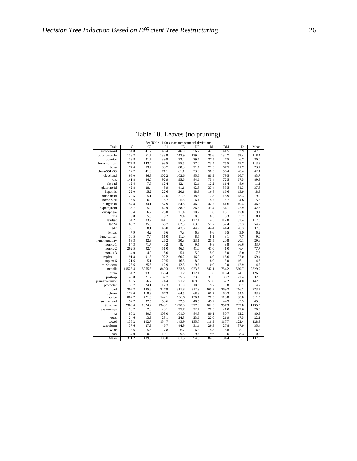Table 10. Leaves (no pruning)

|                 |         |                | See Table 11 for associated standard deviations |        |       |       |       |       |        |
|-----------------|---------|----------------|-------------------------------------------------|--------|-------|-------|-------|-------|--------|
| Task            | C1      | C <sub>2</sub> | $_{11}$                                         | IE.    | DE.   | DL    | DM    | 12    | Mean   |
| audio-no-id     | 74.8    | 41.7           | 45.4                                            | 46.9   | 56.2  | 42.3  | 41.5  | 33.9  | 47.8   |
| balance-scale   | 138.2   | 61.7           | 138.8                                           | 143.9  | 139.2 | 135.6 | 134.7 | 55.4  | 118.4  |
| bc-wisc         | 33.8    | 21.7           | 39.9                                            | 33.4   | 29.6  | 27.5  | 27.5  | 26.7  | 30.0   |
| breast-cancer   | 277.8   | 143.4          | 98.5                                            | 95.5   | 77.0  | 73.4  | 75.5  | 69.7  | 113.8  |
| bupa            | 77.6    | 53.4           | 88.7                                            | 88.3   | 71.1  | 71.3  | 67.5  | 71.7  | 73.7   |
| chess- $551x39$ | 72.2    | 41.0           | 71.1                                            | 61.1   | 93.0  | 56.3  | 56.4  | 48.4  | 62.4   |
| cleveland       | 95.0    | 56.8           | 102.2                                           | 102.6  | 85.6  | 80.9  | 79.5  | 66.7  | 83.7   |
| <b>CTX</b>      | 141.8   | 84.0           | 92.9                                            | 95.6   | 84.6  | 75.4  | 72.5  | 67.5  | 89.3   |
| fayyad          | 12.4    | 7.6            | 12.4                                            | 12.4   | 12.1  | 12.2  | 11.4  | 8.6   | 11.1   |
| glass-no-id     | 42.8    | 28.4           | 43.9                                            | 41.1   | 42.3  | 37.4  | 35.5  | 31.3  | 37.8   |
| hepatitis       | 22.0    | 15.2           | 22.6                                            | 20.1   | 18.8  | 16.8  | 16.6  | 13.9  | 18.3   |
| horse-dead      | 20.5    | 15.1           | 22.6                                            | 21.9   | 18.6  | 17.8  | 16.9  | 18.3  | 19.0   |
| horse-sick      | 6.6     | 6.2            | 5.7                                             | 5.8    | 6.4   | 5.7   | 5.7   | 4.6   | 5.8    |
| hungarian       | 54.8    | 34.1           | 57.9                                            | 54.6   | 46.0  | 42.7  | 41.6  | 40.4  | 46.5   |
| hypothyroid     | 36.7    | 15.9           | 42.9                                            | 38.0   | 36.8  | 33.4  | 34.1  | 22.9  | 32.6   |
| ionosphere      | 20.4    | 16.2           | 23.0                                            | 21.4   | 20.7  | 17.8  | 18.1  | 17.8  | 19.4   |
| iris            | 9.8     | 5.3            | 9.2                                             | 9.4    | 8.8   | 8.3   | 8.3   | 5.7   | 8.1    |
| landsat         | 134.2   | 83.2           | 141.1                                           | 136.5  | 127.4 | 114.5 | 112.8 | 92.4  | 117.8  |
| led24           | 63.7    | 35.6           | 63.7                                            | 62.5   | 63.6  | 57.7  | 57.4  | 33.3  | 54.7   |
| led7            | 33.1    | 18.1           | 46.0                                            | 43.6   | 44.7  | 44.4  | 44.4  | 26.3  | 37.6   |
| lenses          | 7.9     | 4.2            | 6.6                                             | 7.3    | 6.3   | 6.6   | 6.5   | 3.9   | 6.2    |
| lung-cancer     | 10.5    | 7.4            | 11.0                                            | 11.0   | 8.5   | 8.1   | 8.1   | 7.7   | 9.0    |
| lymphography    | 63.3    | 32.3           | 26.2                                            | 30.3   | 23.1  | 20.5  | 20.8  | 20.1  | 29.6   |
| monks-1         | 84.3    | 71.7           | 40.2                                            | 8.4    | 9.1   | 9.8   | 9.8   | 36.6  | 33.7   |
| $m$ onks- $2$   | 262.5   | 92.4           | 51.0                                            | 46.5   | 41.0  | 41.0  | 41.0  | 46.4  | 77.7   |
| monks-3         | 14.0    | 14.0           | 5.0                                             | 5.1    | 5.0   | 5.0   | 5.0   | 5.0   | 7.3    |
| mplex-11        | 91.8    | 91.3           | 92.2                                            | 60.2   | 16.0  | 16.0  | 16.0  | 92.0  | 59.4   |
| mplex-6         | 21.6    | 15.1           | 20.5                                            | 16.8   | 8.0   | 8.0   | 8.0   | 16.1  | 14.3   |
| mushroom        | 25.6    | 25.6           | 12.9                                            | 12.3   | 9.6   | 10.0  | 9.0   | 12.9  | 14.7   |
| nettalk         | 10528.4 | 5065.8         | 840.3                                           | 823.8  | 923.5 | 742.1 | 754.2 | 560.7 | 2529.9 |
| pima            | 134.2   | 93.8           | 153.4                                           | 151.2  | 122.1 | 113.6 | 115.4 | 124.1 | 126.0  |
| post-op         | 48.8    | 21.2           | 37.7                                            | 35.6   | 33.9  | 31.3  | 30.2  | 22.4  | 32.6   |
| primary-tumor   | 163.5   | 66.7           | 174.4                                           | 171.2  | 169.6 | 157.0 | 157.2 | 84.0  | 142.9  |
| promoter        | 30.7    | 24.1           | 12.3                                            | 11.9   | 10.6  | 9.7   | 9.8   | 8.7   | 14.7   |
| road            | 302.2   | 185.6          | 327.9                                           | 311.8  | 312.9 | 265.2 | 269.2 | 216.2 | 273.9  |
| soybean         | 172.0   | 118.3          | 67.3                                            | 64.5   | 68.8  | 60.7  | 60.3  | 54.5  | 83.3   |
| splice          | 1002.7  | 721.3          | 142.1                                           | 136.6  | 150.1 | 120.3 | 118.8 | 98.8  | 311.3  |
| switzerland     | 52.7    | 32.5           | 53.6                                            | 52.5   | 48.5  | 45.2  | 44.9  | 35.3  | 45.6   |
| tictactoe       | 2369.6  | 1024.2         | 1348.1                                          | 1220.0 | 977.0 | 962.3 | 957.3 | 705.8 | 1195.5 |
| usama-mys       | 18.7    | 12.8           | 28.1                                            | 25.7   | 22.7  | 20.3  | 21.0  | 17.6  | 20.9   |
| va              | 80.2    | 50.6           | 103.0                                           | 101.0  | 84.3  | 80.1  | 80.7  | 62.2  | 80.3   |
| votes           | 24.6    | 13.9           | 28.1                                            | 24.8   | 23.6  | 22.0  | 21.9  | 17.5  | 22.1   |
| vowel           | 136.2   | 102.7          | 154.7                                           | 143.9  | 135.7 | 116.9 | 117.7 | 122.4 | 128.8  |
| waveform        | 37.6    | 27.9           | 46.7                                            | 44.9   | 31.1  | 29.3  | 27.8  | 37.9  | 35.4   |
| wine            | 8.6     | 5.6            | 7.8                                             | 6.7    | 6.3   | 5.8   | 5.8   | 5.7   | 6.5    |
| Z <sub>00</sub> | 14.0    | 10.2           | 10.1                                            | 9.8    | 9.6   | 9.6   | 9.6   | 8.3   | 10.2   |
| Mean            | 371.2   | 189.5          | 108.0                                           | 101.5  | 94.3  | 84.5  | 84.4  | 69.1  | 137.8  |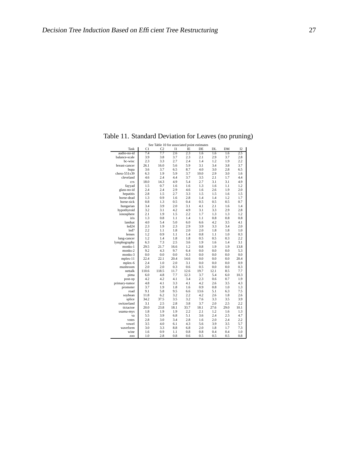|                 |                | See Table 10 for associated point estimates |         |      |      |      |      |      |
|-----------------|----------------|---------------------------------------------|---------|------|------|------|------|------|
| Task            | C <sub>1</sub> | C <sub>2</sub>                              | $_{11}$ | IE   | DE   | DL   | DM   | I2   |
| audio-no-id     | 7.4            | 7.7                                         | 2.6     | 2.3  | 1.6  | 1.6  | 1.6  | 2.5  |
| balance-scale   | 3.9            | 3.8                                         | 3.7     | 2.3  | 2.1  | 2.9  | 3.7  | 2.8  |
| bc-wisc         | 2.3            | 3.3                                         | 2.7     | 2.4  | 1.4  | 1.2  | 1.9  | 2.2  |
| breast-cancer   | 26.1           | 16.0                                        | 5.6     | 5.9  | 3.1  | 3.4  | 3.8  | 3.7  |
| bupa            | 3.6            | 3.7                                         | 6.5     | 8.7  | 4.0  | 3.0  | 2.8  | 6.5  |
| chess- $551x39$ | 6.3            | 1.9                                         | 5.9     | 3.7  | 10.0 | 2.9  | 3.0  | 1.6  |
| cleveland       | 4.6            | 2.4                                         | 4.4     | 3.7  | 3.5  | 2.1  | 1.7  | 4.4  |
| <b>CTX</b>      | 18.0           | 14.3                                        | 4.9     | 5.4  | 2.7  | 3.1  | 3.1  | 4.9  |
| fayyad          | 1.5            | 0.7                                         | 1.6     | 1.6  | 1.3  | 1.6  | 1.1  | 1.2  |
| glass-no-id     | 2.4            | 2.4                                         | 2.9     | 4.6  | 1.6  | 2.6  | 1.9  | 2.0  |
| hepatitis       | 2.8            | 1.5                                         | 2.7     | 3.3  | 1.5  | 1.5  | 1.6  | 1.5  |
| horse-dead      | 1.3            | 0.9                                         | 1.6     | 2.8  | 1.4  | 1.4  | 1.2  | 1.7  |
| horse-sick      | 0.8            | 1.3                                         | 0.5     | 0.4  | 0.5  | 0.5  | 0.5  | 0.7  |
| hungarian       | 3.4            | 3.9                                         | 2.0     | 3.1  | 4.1  | 2.1  | 1.6  | 1.4  |
| hypothyroid     | 3.2            | 3.1                                         | 4.2     | 4.9  | 3.1  | 3.3  | 2.9  | 2.8  |
| ionosphere      | 2.1            | 1.9                                         | 1.5     | 2.2  | 1.7  | 1.3  | 1.3  | 1.2  |
| iris            | 1.3            | 0.8                                         | 1.1     | 1.4  | 1.1  | 0.8  | 0.8  | 0.8  |
| landsat         | 4.0            | 5.4                                         | 5.0     | 6.0  | 6.6  | 4.2  | 3.5  | 4.1  |
| led24           | 2.3            | 1.9                                         | 2.3     | 2.9  | 3.9  | 3.3  | 3.4  | 2.0  |
| led7            | 2.2            | 1.1                                         | 1.8     | 2.0  | 2.0  | 1.8  | 1.8  | 1.0  |
| lenses          | 1.2            | 0.9                                         | 1.1     | 1.4  | 0.8  | 1.1  | 1.0  | 0.3  |
| lung-cancer     | 1.2            | 1.4                                         | 1.8     | 1.8  | 0.5  | 0.5  | 0.3  | 2.2  |
| lymphography    | 6.3            | 7.3                                         | 2.5     | 3.6  | 1.9  | 1.6  | 1.4  | 3.1  |
| monks-1         | 29.5           | 21.7                                        | 16.6    | 1.2  | 0.8  | 1.9  | 1.9  | 13.8 |
| monks-2         | 9.2            | 4.3                                         | 9.7     | 6.4  | 0.0  | 0.0  | 0.0  | 5.3  |
| monks-3         | 0.0            | 0.0                                         | 0.0     | 0.3  | 0.0  | 0.0  | 0.0  | 0.0  |
| $mplex-11$      | 22.4           | 22.1                                        | 20.4    | 14.6 | 0.0  | 0.0  | 0.0  | 20.4 |
| mplex-6         | 2.4            | 1.0                                         | 2.0     | 3.1  | 0.0  | 0.0  | 0.0  | 0.9  |
| mushroom        | 2.0            | 2.0                                         | 0.3     | 0.6  | 0.5  | 0.0  | 0.0  | 0.3  |
| nettalk         | 110.6          | 118.5                                       | 11.7    | 12.6 | 19.7 | 12.1 | 8.5  | 7.7  |
| pima            | 6.0            | 4.8                                         | 7.7     | 12.3 | 3.7  | 5.4  | 6.0  | 10.3 |
| post-op         | 4.2            | 4.2                                         | 4.1     | 3.4  | 2.3  | 0.6  | 0.7  | 1.9  |
| primary-tumor   | 4.8            | 4.1                                         | 3.3     | 4.1  | 4.2  | 2.6  | 3.5  | 4.3  |
| promoter        | 3.7            | 1.9                                         | 1.8     | 1.6  | 0.9  | 0.8  | 1.0  | 1.3  |
| road            | 9.1            | 5.8                                         | 9.5     | 6.6  | 13.6 | 5.1  | 6.3  | 7.5  |
| soybean         | 11.8           | 6.2                                         | 3.2     | 2.2  | 4.2  | 2.6  | 1.8  | 2.6  |
| splice          | 34.2           | 37.5                                        | 3.5     | 3.2  | 7.6  | 3.3  | 3.5  | 3.9  |
| switzerland     | 3.1            | 2.5                                         | 2.8     | 3.8  | 3.7  | 2.0  | 2.5  | 2.2  |
| tictactoe       | 20.0           | 23.8                                        | 18.1    | 33.7 | 18.1 | 27.6 | 29.0 | 10.1 |
| usama-mys       | 1.8            | 1.9                                         | 1.9     | 2.2  | 2.1  | 1.2  | 1.6  | 1.3  |
| va              | 5.5            | 3.9                                         | 6.8     | 5.1  | 3.6  | 2.4  | 2.5  | 4.7  |
| votes           | 2.8            | 3.0                                         | 3.4     | 2.8  | 1.6  | 2.0  | 2.4  | 2.2  |
| vowel           | 3.5            | 4.0                                         | 6.1     | 4.3  | 5.6  | 3.9  | 3.5  | 5.7  |
| waveform        | 3.0            | 3.3                                         | 8.8     | 6.8  | 2.0  | 1.8  | 1.7  | 7.3  |
| wine            | 1.6            | 0.9                                         | 1.1     | 0.8  | 0.8  | 0.4  | 0.4  | 1.0  |
| <b>ZOO</b>      | 1.0            | 2.8                                         | 0.8     | 0.6  | 0.5  | 0.5  | 0.5  | 0.8  |

Table 11. Standard Deviation for Leaves (no pruning)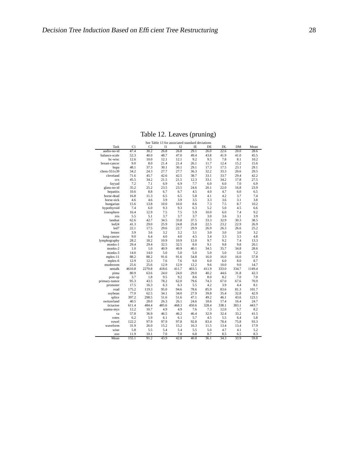Table 12. Leaves (pruning)

|                   |        |                | See Table 13 for associated standard deviations |       |       |       |       |       |        |
|-------------------|--------|----------------|-------------------------------------------------|-------|-------|-------|-------|-------|--------|
| Task              | C1     | C <sub>2</sub> | $_{11}$                                         | 12    | IE.   | DE.   | DL    | DM    | Mean   |
| audio-no-id       | 47.4   | 30.2           | 26.8                                            | 26.8  | 29.1  | 26.0  | 22.6  | 20.0  | 28.6   |
| balance-scale     | 52.3   | 40.0           | 48.7                                            | 47.0  | 49.4  | 43.8  | 41.9  | 41.0  | 45.5   |
| bc-wisc           | 12.6   | 10.0           | 12.1                                            | 12.1  | 9.2   | 9.5   | 7.8   | 8.1   | 10.2   |
| breast-cancer     | 9.0    | 8.0            | 21.4                                            | 21.4  | 26.1  | 11.7  | 12.4  | 15.2  | 15.6   |
| bupa              | 48.1   | 37.3           | 30.1                                            | 30.1  | 29.1  | 17.3  | 17.5  | 23.1  | 29.1   |
| chess- $551x39$   | 34.2   | 24.3           | 27.7                                            | 27.7  | 36.3  | 32.2  | 33.3  | 20.6  | 29.5   |
| cleveland         | 71.6   | 45.7           | 42.6                                            | 42.5  | 38.7  | 33.1  | 33.7  | 29.4  | 42.2   |
| <b>CTX</b>        | 45.5   | 34.2           | 21.5                                            | 21.5  | 12.3  | 33.1  | 34.2  | 17.8  | 27.5   |
| fayyad            | 7.2    | 7.1            | 6.9                                             | 6.9   | 7.7   | 6.0   | 6.0   | 7.0   | 6.9    |
| glass-no-id       | 35.2   | 25.2           | 23.5                                            | 23.5  | 24.6  | 20.1  | 22.0  | 16.8  | 23.9   |
| hepatitis         | 10.6   | 8.8            | 6.7                                             | 6.7   | 4.5   | 4.0   | 4.7   | 6.0   | 6.5    |
| horse-dead        | 16.8   | 11.3           | 6.5                                             | 6.5   | 5.8   | 4.1   | 4.2   | 3.7   | 7.4    |
| horse-sick        | 4.6    | 4.6            | 3.9                                             | 3.9   | 3.5   | 3.3   | 3.6   | 3.1   | 3.8    |
| hungarian         | 15.6   | 13.8           | 10.0                                            | 10.0  | 8.6   | 7.3   | 7.5   | 8.7   | 10.2   |
| hypothyroid       | 7.4    | 6.0            | 9.3                                             | 9.3   | 6.3   | 5.2   | 5.0   | 4.5   | 6.6    |
| ionosphere        | 16.4   | 12.9           | 7.5                                             | 7.5   | 5.9   | 10.0  | 6.0   | 7.4   | 9.2    |
| iris              | 5.5    | 5.1            | 3.7                                             | 3.7   | 3.7   | 3.0   | 3.6   | 3.1   | 3.9    |
| landsat           | 62.6   | 42.7           | 34.5                                            | 33.8  | 37.5  | 33.3  | 32.9  | 30.3  | 38.5   |
| led <sub>24</sub> | 41.3   | 29.0           | 25.9                                            | 24.8  | 25.8  | 22.5  | 23.2  | 22.9  | 26.9   |
| led7              | 22.1   | 17.5           | 29.6                                            | 22.7  | 29.9  | 26.9  | 26.3  | 26.6  | 25.2   |
| lenses            | 3.9    | 3.6            | 3.2                                             | 3.2   | 3.1   | 3.0   | 3.0   | 3.0   | 3.2    |
| lung-cancer       | 9.0    | 6.4            | 4.0                                             | 4.0   | 4.5   | 3.4   | 3.3   | 3.5   | 4.8    |
| lymphography      | 28.2   | 18.2           | 10.9                                            | 10.9  | 12.0  | 9.7   | 9.2   | 7.4   | 13.3   |
| monks-1           | 29.4   | 29.4           | 32.5                                            | 32.5  | 8.0   | 9.1   | 9.8   | 9.8   | 20.1   |
| monks-2           | 1.0    | 1.0            | 40.9                                            | 40.9  | 40.1  | 34.5  | 35.7  | 34.8  | 28.6   |
| monks-3           | 14.0   | 14.0           | 5.0                                             | 5.0   | 5.0   | 5.0   | 5.0   | 5.0   | 7.2    |
| $mplex-11$        | 88.2   | 88.2           | 91.6                                            | 91.6  | 54.8  | 16.0  | 16.0  | 16.0  | 57.8   |
| mplex-6           | 12.9   | 12.3           | 7.6                                             | 7.6   | 9.0   | 6.0   | 6.0   | 8.0   | 8.7    |
| mushroom          | 25.6   | 25.6           | 12.9                                            | 12.9  | 12.2  | 9.6   | 10.0  | 9.0   | 14.7   |
| nettalk           | 4610.8 | 2270.8         | 418.6                                           | 411.7 | 403.5 | 411.9 | 333.0 | 334.7 | 1149.4 |
| pima              | 80.9   | 63.6           | 24.0                                            | 24.0  | 29.0  | 40.2  | 44.6  | 31.8  | 42.3   |
| post-op           | 3.7    | 1.8            | 9.5                                             | 9.2   | 8.6   | 8.0   | 8.2   | 7.0   | 7.0    |
| primary-tumor     | 95.3   | 43.5           | 78.2                                            | 62.0  | 79.6  | 74.3  | 67.0  | 67.6  | 70.9   |
| promoter          | 17.5   | 16.3           | 6.3                                             | 6.3   | 5.5   | 4.2   | 3.9   | 4.4   | 8.1    |
| road              | 175.2  | 119.3          | 95.0                                            | 94.6  | 78.6  | 85.9  | 83.6  | 81.3  | 101.7  |
| soybean           | 77.0   | 62.5           | 34.1                                            | 34.0  | 27.9  | 39.8  | 35.4  | 32.8  | 42.9   |
| splice            | 397.2  | 298.5          | 51.6                                            | 51.6  | 47.1  | 49.2  | 46.1  | 43.6  | 123.1  |
| switzerland       | 40.5   | 28.0           | 26.3                                            | 26.1  | 24.6  | 18.6  | 17.4  | 16.4  | 24.7   |
| tictactoe         | 611.4  | 484.4          | 485.6                                           | 468.3 | 450.6 | 328.4 | 338.1 | 383.1 | 443.7  |
| usama-mys         | 12.2   | 10.7           | 4.9                                             | 4.9   | 7.6   | 7.3   | 12.0  | 5.7   | 8.2    |
| va                | 57.8   | 36.9           | 46.5                                            | 46.2  | 46.4  | 32.9  | 32.4  | 33.2  | 41.5   |
| votes             | 6.2    | 5.9            | 6.1                                             | 6.1   | 5.7   | 4.5   | 5.5   | 6.4   | 5.8    |
| vowel             | 122.2  | 97.9           | 97.9                                            | 97.8  | 92.8  | 83.4  | 78.4  | 75.8  | 93.3   |
| waveform          | 31.9   | 26.0           | 15.2                                            | 15.2  | 16.3  | 11.5  | 13.4  | 13.4  | 17.9   |
| wine              | 5.8    | 5.5            | 5.4                                             | 5.4   | 5.5   | 5.0   | 4.7   | 4.1   | 5.2    |
| Z <sub>O</sub> O  | 11.9   | 10.1           | 7.0                                             | 7.0   | 6.8   | 8.7   | 8.5   | 6.5   | 8.3    |
| Mean              | 155.1  | 91.2           | 43.9                                            | 42.8  | 40.8  | 36.1  | 34.3  | 33.9  | 59.8   |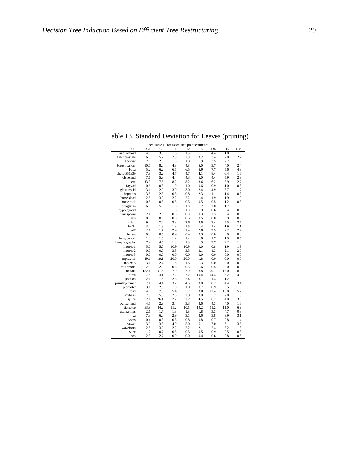|                   |       |                |      |      | See Table 12 for associated point estimates |      |      |     |
|-------------------|-------|----------------|------|------|---------------------------------------------|------|------|-----|
| Task              | C1    | C <sub>2</sub> | 11   | 12   | IE                                          | DE   | DL   | DΜ  |
| audio-no-id       | 4.3   | 3.0            | 1.5  | 1.5  | 1.1                                         | 4.4  | 1.8  | 1.5 |
| balance-scale     | 6.5   | 5.7            | 2.9  | 2.9  | 3.2                                         | 3.4  | 2.0  | 2.7 |
| bc-wisc           | 2.6   | 2.0            | 1.3  | 1.3  | 1.9                                         | 3.5  | 2.7  | 1.6 |
| breast-cancer     | 10.7  | 8.0            | 4.8  | 4.8  | 5.0                                         | 3.7  | 4.0  | 2.4 |
| bupa              | 5.2   | 6.2            | 6.5  | 6.5  | 5.9                                         | 7.7  | 5.6  | 4.3 |
| chess- $551x39$   | 7.8   | 3.2            | 4.7  | 4.7  | 4.1                                         | 8.4  | 6.4  | 1.6 |
| cleveland         | 7.6   | 5.8            | 4.4  | 4.3  | 6.0                                         | 4.4  | 5.9  | 2.3 |
| <b>CTX</b>        | 13.3  | 7.5            | 8.2  | 8.2  | 3.6                                         | 6.2  | 8.9  | 2.7 |
| fayyad            | 0.6   | 0.3            | 1.0  | 1.0  | 0.6                                         | 0.9  | 1.0  | 0.8 |
| glass-no-id       | 3.1   | 2.9            | 3.0  | 3.0  | 2.4                                         | 4.9  | 5.7  | 1.7 |
| hepatitis         | 3.8   | 2.3            | 0.8  | 0.8  | 2.3                                         | 1.1  | 1.4  | 0.8 |
| horse-dead        | 2.5   | 3.2            | 2.2  | 2.2  | 1.4                                         | 1.9  | 1.9  | 1.0 |
| horse-sick        | 0.8   | 0.8            | 0.5  | 0.5  | 0.5                                         | 0.5  | 1.2  | 0.3 |
| hungarian         | 6.9   | 5.0            | 1.8  | 1.8  | 1.2                                         | 2.0  | 1.7  | 1.6 |
| hypothyroid       | 1.9   | 1.0            | 1.3  | 1.3  | 1.9                                         | 0.6  | 0.4  | 0.5 |
| ionosphere        | 2.4   | 2.3            | 0.8  | 0.8  | 0.3                                         | 2.3  | 0.4  | 0.5 |
| iris              | 0.8   | 0.9            | 0.5  | 0.5  | 0.5                                         | 0.0  | 0.9  | 0.3 |
| landsat           | 9.4   | 7.4            | 2.8  | 2.6  | 2.6                                         | 3.4  | 5.5  | 2.7 |
| led <sub>24</sub> | 3.2   | 1.3            | 1.8  | 1.5  | 1.4                                         | 1.4  | 1.9  | 1.1 |
| led7              | 2.1   | 1.7            | 2.4  | 1.4  | 2.8                                         | 2.5  | 2.2  | 2.4 |
| lenses            | 0.3   | 0.5            | 0.4  | 0.4  | 0.3                                         | 0.0  | 0.0  | 0.0 |
| lung-cancer       | 1.8   | 1.5            | 1.2  | 1.2  | 1.6                                         | 1.7  | 1.9  | 0.5 |
| lymphography      | 7.2   | 4.5            | 1.9  | 1.9  | 1.9                                         | 2.7  | 2.2  | 1.0 |
| monks-1           | 5.0   | 5.0            | 10.9 | 10.9 | 0.0                                         | 0.8  | 1.9  | 1.9 |
| monks-2           | 0.0   | 0.0            | 3.3  | 3.3  | 3.1                                         | 1.3  | 2.1  | 2.0 |
| monks-3           | 0.0   | 0.0            | 0.0  | 0.0  | 0.0                                         | 0.0  | 0.0  | 0.0 |
| mplex-11          | 19.1  | 19.1           | 20.0 | 20.0 | 1.8                                         | 0.0  | 0.0  | 0.0 |
| mplex-6           | 3.1   | 2.4            | 1.5  | 1.5  | 1.3                                         | 0.0  | 0.0  | 0.0 |
| mushroom          | 2.0   | 2.0            | 0.3  | 0.3  | 1.6                                         | 0.5  | 0.0  | 0.0 |
| nettalk           | 182.4 | 91.6           | 7.9  | 7.9  | 8.8                                         | 29.7 | 17.0 | 8.9 |
| pima              | 7.5   | 3.1            | 7.2  | 7.2  | 10.4                                        | 14.4 | 8.2  | 4.9 |
| post-op           | 2.1   | 1.6            | 2.3  | 2.4  | 3.1                                         | 1.4  | 1.2  | 1.2 |
| primary-tumor     | 7.4   | 4.4            | 3.2  | 4.6  | 3.8                                         | 8.2  | 4.4  | 3.4 |
| promoter          | 3.1   | 2.8            | 1.0  | 1.0  | 0.7                                         | 0.9  | 0.5  | 1.0 |
| road              | 4.6   | 7.5            | 5.4  | 5.7  | 3.0                                         | 12.4 | 13.8 | 5.7 |
| soybean           | 7.8   | 5.8            | 2.8  | 2.9  | 3.0                                         | 5.2  | 2.8  | 1.8 |
| splice            | 32.1  | 26.1           | 2.2  | 2.2  | 4.5                                         | 6.2  | 4.0  | 3.0 |
| switzerland       | 4.5   | 2.9            | 3.4  | 3.3  | 3.6                                         | 4.3  | 4.0  | 1.6 |
| tictactoe         | 33.9  | 34.2           | 11.2 | 10.1 | 19.2                                        | 11.2 | 11.0 | 6.9 |
| usama-mys         | 2.1   | 1.7            | 1.8  | 1.8  | 1.8                                         | 3.3  | 4.7  | 0.8 |
| va                | 7.3   | 6.0            | 2.9  | 3.1  | 3.0                                         | 3.8  | 3.9  | 3.1 |
| votes             | 0.4   | 0.3            | 0.8  | 0.8  | 0.8                                         | 0.7  | 0.8  | 1.4 |
| vowel             | 3.0   | 3.8            | 4.9  | 5.0  | 5.1                                         | 7.0  | 6.1  | 3.3 |
| waveform          | 2.5   | 3.0            | 2.2  | 2.2  | 2.1                                         | 2.4  | 5.2  | 1.8 |
| wine              | 1.2   | 0.7            | 0.5  | 0.5  | 0.5                                         | 0.9  | 0.5  | 0.3 |
| ZOO               | 2.3   | 2.7            | 0.0  | 0.0  | 0.4                                         | 0.6  | 0.8  | 0.5 |

Table 13. Standard Deviation for Leaves (pruning)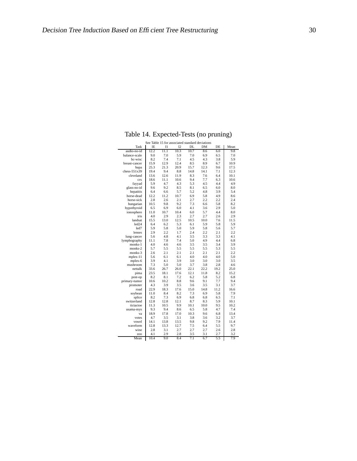|                 |      |      |      |      | See Table 15 for associated standard deviations |      |      |
|-----------------|------|------|------|------|-------------------------------------------------|------|------|
| Task            | IE   | 11   | 12   | DI.  | DM                                              | DE   | Mean |
| audio-no-id     | 12.2 | 11.1 | 10.3 | 10.7 | 8.6                                             | 6.0  | 9.8  |
| balance-scale   | 9.0  | 7.0  | 5.9  | 7.0  | 6.9                                             | 6.5  | 7.0  |
| bc-wisc         | 8.2  | 7.4  | 7.1  | 4.5  | 4.3                                             | 3.8  | 5.9  |
| breast-cancer   | 15.9 | 12.9 | 12.4 | 8.5  | 8.9                                             | 6.7  | 10.9 |
| bupa            | 25.3 | 21.3 | 20.9 | 15.7 | 12.3                                            | 9.6  | 17.5 |
| chess- $551x39$ | 19.4 | 9.4  | 8.8  | 14.8 | 14.1                                            | 7.1  | 12.3 |
| cleveland       | 13.6 | 12.6 | 11.9 | 8.3  | 7.6                                             | 6.4  | 10.1 |
| <b>CTX</b>      | 18.6 | 11.1 | 10.6 | 9.4  | 7.7                                             | 6.3  | 10.6 |
| fayyad          | 5.9  | 4.7  | 4.3  | 5.3  | 4.5                                             | 4.4  | 4.9  |
| glass-no-id     | 9.6  | 9.2  | 8.5  | 8.1  | 6.5                                             | 6.0  | 8.0  |
| hepatitis       | 6.4  | 6.6  | 5.7  | 5.2  | 4.8                                             | 3.9  | 5.4  |
| horse-dead      | 12.2 | 11.2 | 10.7 | 6.9  | 5.8                                             | 4.9  | 8.6  |
| horse-sick      | 2.8  | 2.6  | 2.1  | 2.7  | 2.2                                             | 2.2  | 2.4  |
| hungarian       | 10.5 | 9.8  | 9.2  | 7.3  | 6.6                                             | 5.8  | 8.2  |
| hypothyroid     | 6.5  | 6.9  | 6.0  | 4.1  | 3.6                                             | 2.9  | 5.0  |
| ionosphere      | 11.0 | 10.7 | 10.4 | 6.0  | 5.7                                             | 4.4  | 8.0  |
| iris            | 4.0  | 2.9  | 2.3  | 2.7  | 2.7                                             | 2.6  | 2.9  |
| landsat         | 15.5 | 13.0 | 12.5 | 10.5 | 10.0                                            | 7.6  | 11.5 |
| led24           | 6.4  | 6.2  | 5.3  | 6.1  | 5.9                                             | 5.8  | 5.9  |
| led7            | 5.9  | 5.8  | 5.0  | 5.9  | 5.8                                             | 5.6  | 5.7  |
| lenses          | 2.9  | 2.2  | 1.7  | 2.4  | 2.2                                             | 2.1  | 2.2  |
| lung-cancer     | 5.6  | 4.8  | 4.1  | 3.5  | 3.3                                             | 3.3  | 4.1  |
| lymphography    | 11.1 | 7.8  | 7.4  | 5.0  | 4.9                                             | 4.4  | 6.8  |
| monks-1         | 4.0  | 4.6  | 4.6  | 3.5  | 3.5                                             | 3.4  | 3.9  |
| $m$ onks-2      | 5.7  | 5.5  | 5.5  | 5.5  | 5.5                                             | 5.3  | 5.5  |
| monks-3         | 2.6  | 2.1  | 2.1  | 2.1  | 2.1                                             | 2.1  | 2.2  |
| mplex-11        | 5.6  | 6.1  | 6.1  | 4.0  | 4.0                                             | 4.0  | 5.0  |
| mplex-6         | 3.9  | 4.1  | 3.9  | 3.0  | 3.0                                             | 3.0  | 3.5  |
| mushroom        | 7.3  | 5.0  | 5.0  | 3.7  | 3.8                                             | 2.8  | 4.6  |
| nettalk         | 33.6 | 26.7 | 26.0 | 22.1 | 22.2                                            | 19.2 | 25.0 |
| pima            | 23.5 | 18.1 | 17.6 | 12.1 | 11.8                                            | 8.2  | 15.2 |
| post-op         | 8.2  | 8.1  | 7.2  | 6.2  | 5.8                                             | 5.2  | 6.8  |
| primary-tumor   | 10.6 | 10.2 | 8.8  | 9.6  | 9.1                                             | 7.7  | 9.4  |
| promoter        | 4.3  | 3.9  | 3.5  | 3.6  | 3.5                                             | 3.1  | 3.7  |
| road            | 22.9 | 18.3 | 17.6 | 15.0 | 14.8                                            | 11.2 | 16.6 |
| soybean         | 11.0 | 8.4  | 8.2  | 7.3  | 6.9                                             | 5.8  | 7.9  |
| splice          | 8.2  | 7.3  | 6.9  | 6.8  | 6.8                                             | 6.5  | 7.1  |
| switzerland     | 12.8 | 12.8 | 12.1 | 8.7  | 8.3                                             | 5.9  | 10.1 |
| tictactoe       | 11.3 | 10.5 | 9.9  | 10.1 | 10.0                                            | 9.5  | 10.2 |
| usama-mys       | 9.3  | 9.4  | 8.6  | 6.5  | 5.8                                             | 4.7  | 7.4  |
| va              | 18.9 | 17.8 | 17.0 | 10.3 | 9.6                                             | 6.8  | 13.4 |
| votes           | 4.7  | 3.5  | 3.1  | 3.8  | 3.6                                             | 3.2  | 3.7  |
| vowel           | 14.1 | 13.8 | 13.5 | 9.8  | 9.2                                             | 7.9  | 11.4 |
| waveform        | 12.8 | 13.3 | 12.7 | 7.5  | 6.4                                             | 5.5  | 9.7  |
| wine            | 2.8  | 3.1  | 2.7  | 2.7  | 2.7                                             | 2.6  | 2.8  |
| Z <sub>00</sub> | 4.1  | 2.9  | 2.8  | 3.5  | 3.1                                             | 2.7  | 3.2  |
| Mean            | 10.4 | 9.0  | 8.4  | 7.1  | 6.7                                             | 5.5  | 7.9  |

Table 14. Expected-Tests (no pruning)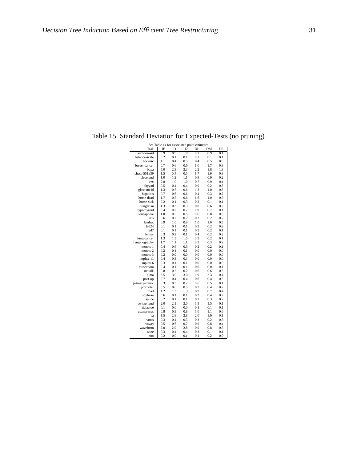|                 |     |     |     | See Table 14 for associated point estimates |          |     |
|-----------------|-----|-----|-----|---------------------------------------------|----------|-----|
| Task            | ΙE  | 11  | 12  | DL                                          | DМ       | DE. |
| audio-no-id     | 0.9 | 0.9 | 1.0 | 0.7                                         | 0.9      | 0.1 |
| balance-scale   | 0.2 | 0.1 | 0.1 | 0.2                                         | 0.1      | 0.1 |
| bc-wisc         | 1.1 | 0.4 | 0.5 | 0.4                                         | 0.5      | 0.0 |
| breast-cancer   | 0.7 | 0.6 | 0.6 | 1.0                                         | 1.7      | 0.3 |
| bupa            | 5.0 | 2.3 | 2.3 | 2.2                                         | 1.8      | 1.3 |
| chess- $551x39$ | 1.5 | 0.4 | 0.5 | 1.7                                         | 1.9      | 0.3 |
| cleveland       | 1.0 | 1.2 | 1.1 | 0.9                                         | 0.9      | 0.2 |
| <b>CTX</b>      | 2.8 | 1.0 | 1.0 | 0.7                                         | 0.9      | 0.1 |
| fayyad          | 0.5 | 0.4 | 0.4 | 0.9                                         | 0.2      | 0.3 |
| glass-no-id     | 1.3 | 0.7 | 0.6 | 1.3                                         | 1.0      | 0.3 |
| hepatitis       | 0.7 | 0.6 | 0.6 | 0.4                                         | 0.3      | 0.2 |
| horse-dead      | 1.7 | 0.5 | 0.6 | 1.6                                         | 1.0      | 0.5 |
| horse-sick      | 0.2 | 0.1 | 0.3 | 0.2                                         | 0.1      | 0.1 |
| hungarian       | 1.3 | 0.3 | 0.3 | 0.8                                         | 0.6      | 0.2 |
| hypothyroid     | 0.4 | 0.7 | 0.7 | 0.9                                         | 0.7      | 0.1 |
| ionosphere      | 1.0 | 0.5 | 0.5 | 0.6                                         | 0.8      | 0.3 |
| iris            | 0.6 | 0.2 | 0.2 | 0.2                                         | 0.2      | 0.2 |
| landsat         | 0.9 | 1.0 | 0.9 | 1.0                                         | 1.0      | 0.5 |
| led24           | 0.1 | 0.1 | 0.1 | 0.2                                         | 0.2      | 0.2 |
| led7            | 0.1 | 0.1 | 0.1 | 0.2                                         | 0.2      | 0.1 |
| lenses          | 0.3 | 0.2 | 0.1 | 0.4                                         | 0.2      | 0.2 |
| lung-cancer     | 1.3 | 1.3 | 1.5 | 0.2                                         | 0.2      | 0.1 |
| lymphography    | 1.7 | 1.1 | 1.1 | 0.3                                         | 0.3      | 0.2 |
| monks-1         | 0.4 | 0.6 | 0.5 | 0.2                                         | 0.2      | 0.1 |
| monks-2         | 0.2 | 0.1 | 0.1 | 0.0                                         | 0.0      | 0.0 |
| monks-3         | 0.2 | 0.0 | 0.0 | 0.0                                         | 0.0      | 0.0 |
| $mplex-11$      | 0.4 | 0.3 | 0.3 | 0.0                                         | $_{0.0}$ | 0.0 |
| mplex-6         | 0.3 | 0.1 | 0.1 | 0.0                                         | 0.0      | 0.0 |
| mushroom        | 0.4 | 0.1 | 0.1 | 0.0                                         | 0.0      | 0.1 |
| nettalk         | 0.8 | 0.2 | 0.2 | 0.6                                         | 0.6      | 0.2 |
| pima            | 3.5 | 3.0 | 3.0 | 1.9                                         | 2.3      | 0.4 |
| post-op         | 0.7 | 0.4 | 0.4 | 0.6                                         | 0.4      | 0.2 |
| primary-tumor   | 0.3 | 0.3 | 0.2 | 0.6                                         | 0.5      | 0.1 |
| promoter        | 0.5 | 0.6 | 0.5 | 0.3                                         | 0.4      | 0.2 |
| road            | 1.2 | 1.3 | 1.3 | 0.9                                         | 0.7      | 0.4 |
| soybean         | 0.6 | 0.1 | 0.1 | 0.3                                         | 0.4      | 0.2 |
| splice          | 0.2 | 0.1 | 0.1 | 0.2                                         | 0.3      | 0.2 |
| switzerland     | 2.0 | 2.1 | 2.0 | 1.5                                         | 1.5      | 0.1 |
| tictactoe       | 0.1 | 0.0 | 0.0 | 0.1                                         | 0.1      | 0.1 |
| usama-mys       | 0.8 | 0.9 | 0.8 | 1.0                                         | 1.1      | 0.6 |
| va              | 1.5 | 2.8 | 2.8 | 2.0                                         | 1.9      | 0.1 |
| votes           | 0.3 | 0.4 | 0.3 | 0.3                                         | 0.2      | 0.3 |
| vowel           | 0.5 | 0.6 | 0.7 | 0.9                                         | 0.8      | 0.4 |
| waveform        | 2.0 | 2.9 | 2.8 | 0.9                                         | 0.8      | 0.5 |
| wine            | 0.3 | 0.4 | 0.4 | 0.2                                         | 0.1      | 0.1 |
| 7.00            | 0.2 | 0.0 | 0.1 | 0.1                                         | 0.2      | 0.0 |

Table 15. Standard Deviation for Expected-Tests (no pruning)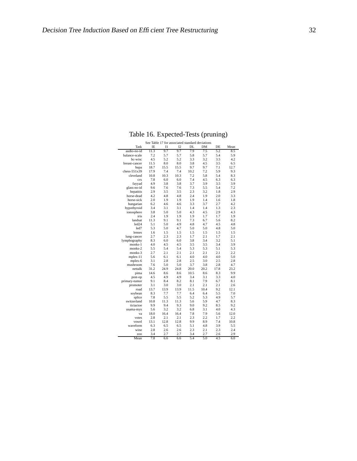|                 | See Table 17 for associated standard deviations |                |      |      |      |      |      |
|-----------------|-------------------------------------------------|----------------|------|------|------|------|------|
| Task            | IE.                                             | I <sub>1</sub> | 12   | DI.  | DM   | DE   | Mean |
| audio-no-id     | 11.3                                            | 9.7            | 9.7  | 7.9  | 7.5  | 5.2  | 8.5  |
| balance-scale   | 7.2                                             | 5.7            | 5.7  | 5.8  | 5.7  | 5.4  | 5.9  |
| bc-wisc         | 4.5                                             | 5.2            | 5.2  | 3.3  | 3.2  | 3.5  | 4.2  |
| breast-cancer   | 11.5                                            | 8.0            | 8.0  | 3.8  | 4.5  | 3.5  | 6.5  |
| bupa            | 18.7                                            | 15.5           | 15.5 | 9.7  | 9.7  | 7.1  | 12.7 |
| chess- $551x39$ | 17.9                                            | 7.4            | 7.4  | 10.2 | 7.2  | 5.9  | 9.3  |
| cleveland       | 10.8                                            | 10.3           | 10.3 | 7.2  | 5.8  | 5.4  | 8.3  |
| <b>CTX</b>      | 7.8                                             | 6.0            | 6.0  | 7.4  | 4.5  | 6.3  | 6.3  |
| fayyad          | 4.9                                             | 3.8            | 3.8  | 3.7  | 3.9  | 3.5  | 3.9  |
| glass-no-id     | 9.6                                             | 7.6            | 7.6  | 7.3  | 5.5  | 5.4  | 7.2  |
| hepatitis       | 2.9                                             | 3.5            | 3.5  | 2.3  | 3.2  | 1.8  | 2.9  |
| horse-dead      | 4.2                                             | 4.8            | 4.8  | 2.4  | 1.9  | 2.0  | 3.3  |
| horse-sick      | 2.0                                             | 1.9            | 1.9  | 1.9  | 1.4  | 1.6  | 1.8  |
| hungarian       | 6.2                                             | 4.6            | 4.6  | 3.3  | 3.7  | 2.7  | 4.2  |
| hypothyroid     | 3.4                                             | 3.1            | 3.1  | 1.4  | 1.4  | 1.3  | 2.3  |
| ionosphere      | 3.8                                             | 5.0            | 5.0  | 4.3  | 4.5  | 2.9  | 4.3  |
| iris            | 2.4                                             | 1.9            | 1.9  | 1.9  | 1.7  | 1.7  | 1.9  |
| landsat         | 11.3                                            | 9.1            | 9.1  | 7.3  | 6.7  | 5.6  | 8.2  |
| led24           | 5.1                                             | 5.0            | 4.9  | 4.8  | 4.7  | 4.5  | 4.8  |
| led7            | 5.3                                             | 5.0            | 4.7  | 5.0  | 5.0  | 4.8  | 5.0  |
| lenses          | 1.6                                             | 1.5            | 1.5  | 1.5  | 1.5  | 1.5  | 1.5  |
| lung-cancer     | 2.7                                             | 2.3            | 2.3  | 1.7  | 2.1  | 1.7  | 2.1  |
| lymphography    | 8.3                                             | 6.0            | 6.0  | 3.8  | 3.4  | 3.2  | 5.1  |
| monks-1         | 4.0                                             | 4.5            | 4.5  | 3.5  | 3.5  | 3.4  | 3.9  |
| monks-2         | 5.5                                             | 5.4            | 5.4  | 5.3  | 5.3  | 5.1  | 5.3  |
| monks-3         | 2.7                                             | 2.1            | 2.1  | 2.1  | 2.1  | 2.1  | 2.2  |
| $mplex-11$      | 5.6                                             | 6.1            | 6.1  | 4.0  | 4.0  | 4.0  | 5.0  |
| mplex-6         | 3.1                                             | 2.8            | 2.8  | 2.5  | 3.0  | 2.5  | 2.8  |
| mushroom        | 7.6                                             | 5.0            | 5.0  | 3.7  | 3.8  | 2.8  | 4.7  |
| nettalk         | 31.2                                            | 24.9           | 24.8 | 20.0 | 20.2 | 17.8 | 23.2 |
| pima            | 14.6                                            | 8.6            | 8.6  | 10.5 | 8.6  | 8.3  | 9.9  |
| post-op         | 4.5                                             | 4.9            | 4.9  | 3.4  | 3.1  | 3.3  | 4.0  |
| primary-tumor   | 9.1                                             | 8.4            | 8.2  | 8.1  | 7.9  | 6.7  | 8.1  |
| promoter        | 3.1                                             | 3.0            | 3.0  | 2.1  | 2.1  | 2.1  | 2.6  |
| road            | 13.7                                            | 13.9           | 13.9 | 11.5 | 10.4 | 9.2  | 12.1 |
| soybean         | 8.3                                             | 7.7            | 7.7  | 6.4  | 6.4  | 5.5  | 7.0  |
| splice          | 7.8                                             | 5.5            | 5.5  | 5.2  | 5.3  | 4.9  | 5.7  |
| switzerland     | 10.8                                            | 11.3           | 11.3 | 5.6  | 5.9  | 4.7  | 8.3  |
| tictactoe       | 9.9                                             | 9.4            | 9.3  | 9.0  | 9.2  | 8.5  | 9.2  |
| usama-mys       | 5.6                                             | 3.2            | 3.2  | 6.8  | 3.1  | 4.0  | 4.3  |
| va              | 18.0                                            | 16.4           | 16.4 | 7.8  | 7.9  | 5.6  | 12.0 |
| votes           | 2.8                                             | 2.1            | 2.1  | 2.3  | 2.2  | 1.7  | 2.2  |
| vowel           | 13.1                                            | 12.8           | 12.8 | 9.9  | 8.9  | 7.4  | 10.8 |
| waveform        | 6.3                                             | 6.5            | 6.5  | 5.1  | 4.8  | 3.9  | 5.5  |
| wine            | 2.8                                             | 2.6            | 2.6  | 2.3  | 2.1  | 2.3  | 2.4  |
| ZOO             | 3.4                                             | 2.7            | 2.7  | 3.4  | 2.7  | 2.6  | 2.9  |
| Mean            | 7.8                                             | 6.6            | 6.6  | 5.4  | 5.0  | 4.5  | 6.0  |

Table 16. Expected-Tests (pruning)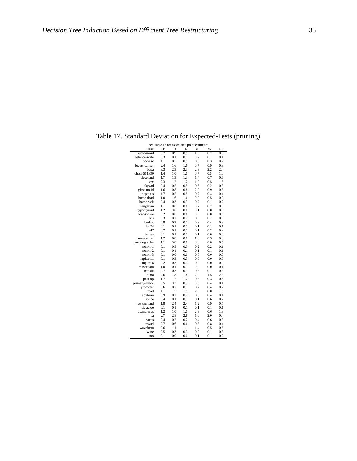| See Table 16 for associated point estimates |     |     |     |     |          |     |  |  |  |
|---------------------------------------------|-----|-----|-----|-----|----------|-----|--|--|--|
| Task                                        | IE. | 11  | 12  | DL  | DM       | DE  |  |  |  |
| audio-no-id                                 | 0.7 | 0.9 | 0.9 | 1.0 | 0.7      | 0.5 |  |  |  |
| balance-scale                               | 0.3 | 0.1 | 0.1 | 0.2 | 0.1      | 0.1 |  |  |  |
| bc-wisc                                     | 1.1 | 0.5 | 0.5 | 0.6 | 0.3      | 0.7 |  |  |  |
| breast-cancer                               | 2.4 | 1.6 | 1.6 | 0.7 | 0.9      | 0.8 |  |  |  |
| bupa                                        | 3.3 | 2.3 | 2.3 | 2.3 | 2.2      | 2.4 |  |  |  |
| chess- $551x39$                             | 1.4 | 1.0 | 1.0 | 0.7 | 0.5      | 1.0 |  |  |  |
| cleveland                                   | 1.7 | 1.3 | 1.3 | 1.4 | 0.7      | 0.6 |  |  |  |
| <b>CTX</b>                                  | 2.3 | 1.2 | 1.2 | 1.9 | 0.5      | 1.8 |  |  |  |
| fayyad                                      | 0.4 | 0.5 | 0.5 | 0.6 | 0.2      | 0.3 |  |  |  |
| glass-no-id                                 | 1.6 | 0.8 | 0.8 | 2.0 | 0.9      | 0.8 |  |  |  |
| hepatitis                                   | 1.7 | 0.5 | 0.5 | 0.7 | 0.4      | 0.4 |  |  |  |
| horse-dead                                  | 1.0 | 1.6 | 1.6 | 0.9 | 0.5      | 0.9 |  |  |  |
| horse-sick                                  | 0.4 | 0.3 | 0.3 | 0.7 | 0.1      | 0.2 |  |  |  |
| hungarian                                   | 1.1 | 0.6 | 0.6 | 0.7 | 0.7      | 0.5 |  |  |  |
| hypothyroid                                 | 1.2 | 0.6 | 0.6 | 0.1 | 0.0      | 0.0 |  |  |  |
| ionosphere                                  | 0.2 | 0.6 | 0.6 | 0.3 | 0.8      | 0.3 |  |  |  |
| iris                                        | 0.3 | 0.2 | 0.2 | 0.3 | 0.1      | 0.0 |  |  |  |
| landsat                                     | 0.8 | 0.7 | 0.7 | 0.9 | 0.4      | 0.3 |  |  |  |
| led24                                       | 0.1 | 0.1 | 0.1 | 0.1 | 0.1      | 0.1 |  |  |  |
| led7                                        | 0.2 | 0.1 | 0.1 | 0.1 | 0.2      | 0.2 |  |  |  |
| lenses                                      | 0.1 | 0.1 | 0.1 | 0.1 | 0.0      | 0.0 |  |  |  |
| lung-cancer                                 | 1.2 | 0.8 | 0.8 | 1.0 | 0.3      | 0.8 |  |  |  |
| lymphography                                | 1.1 | 0.8 | 0.8 | 0.8 | 0.6      | 0.5 |  |  |  |
| monks-1                                     | 0.1 | 0.5 | 0.5 | 0.2 | 0.2      | 0.1 |  |  |  |
| monks-2                                     | 0.1 | 0.1 | 0.1 | 0.1 | 0.1      | 0.1 |  |  |  |
| monks-3                                     | 0.1 | 0.0 | 0.0 | 0.0 | 0.0      | 0.0 |  |  |  |
| $mplex-11$                                  | 0.1 | 0.3 | 0.3 | 0.0 | 0.0      | 0.0 |  |  |  |
| mplex-6                                     | 0.2 | 0.3 | 0.3 | 0.0 | 0.0      | 0.0 |  |  |  |
| mushroom                                    | 1.0 | 0.1 | 0.1 | 0.0 | 0.0      | 0.1 |  |  |  |
| nettalk                                     | 0.7 | 0.3 | 0.3 | 0.3 | 0.7      | 0.3 |  |  |  |
| pima                                        | 2.6 | 1.8 | 1.8 | 2.2 | 1.5      | 2.3 |  |  |  |
| post-op                                     | 1.7 | 1.2 | 1.2 | 0.3 | 0.3      | 0.5 |  |  |  |
| primary-tumor                               | 0.5 | 0.3 | 0.3 | 0.3 | 0.4      | 0.1 |  |  |  |
| promoter                                    | 0.6 | 0.7 | 0.7 | 0.2 | 0.4      | 0.2 |  |  |  |
| road                                        | 1.1 | 1.5 | 1.5 | 2.0 | 0.8      | 1.3 |  |  |  |
| soybean                                     | 0.9 | 0.2 | 0.2 | 0.6 | 0.4      | 0.1 |  |  |  |
| splice                                      | 0.4 | 0.1 | 0.1 | 0.1 | 0.6      | 0.2 |  |  |  |
| switzerland                                 | 1.8 | 2.4 | 2.4 | 1.2 | 0.9      | 0.7 |  |  |  |
| tictactoe                                   | 0.1 | 0.1 | 0.1 | 0.1 | 0.1      | 0.1 |  |  |  |
| usama-mys                                   | 1.2 | 1.0 | 1.0 | 2.3 | 0.6      | 1.8 |  |  |  |
| va                                          | 2.7 | 2.8 | 2.8 | 1.0 | 2.0      | 0.4 |  |  |  |
| votes                                       | 0.4 | 0.2 | 0.2 | 0.4 | 0.6      | 0.3 |  |  |  |
| vowel                                       | 0.7 | 0.6 | 0.6 | 0.8 | 0.8      | 0.4 |  |  |  |
| waveform                                    | 0.6 | 1.1 | 1.1 | 1.4 | 0.5      | 0.6 |  |  |  |
| wine                                        | 0.5 | 0.3 | 0.3 | 0.2 | 0.1      | 0.3 |  |  |  |
| 7.00                                        | 0.1 | 0.0 | 0.0 | 0.1 | $_{0.1}$ | 0.0 |  |  |  |
|                                             |     |     |     |     |          |     |  |  |  |

Table 17. Standard Deviation for Expected-Tests (pruning)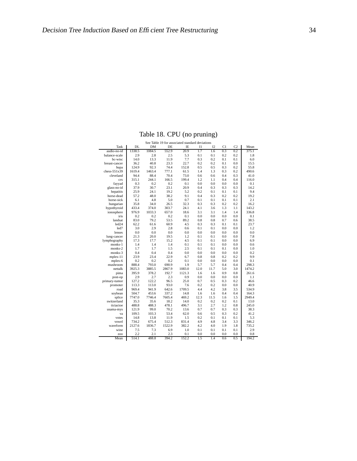Table 18. CPU (no pruning)

| See Table 19 for associated standard deviations |        |        |        |        |         |      |     |                |        |
|-------------------------------------------------|--------|--------|--------|--------|---------|------|-----|----------------|--------|
| Task                                            | DL     | DМ     | DF.    | IE.    | $_{11}$ | 12   | C1  | C <sub>2</sub> | Mean   |
| audio-no-id                                     | 1338.5 | 1084.5 | 552.9  | 20.9   | 1.7     | 1.6  | 0.3 | 0.2            | 375.1  |
| balance-scale                                   | 2.9    | 2.8    | 2.5    | 5.3    | 0.1     | 0.1  | 0.2 | 0.2            | 1.8    |
| bc-wisc                                         | 14.0   | 13.3   | 11.9   | 7.7    | 0.3     | 0.2  | 0.1 | 0.1            | 6.0    |
| breast-cancer                                   | 36.2   | 40.8   | 23.3   | 22.7   | 0.2     | 0.2  | 0.1 | 0.0            | 15.5   |
| bupa                                            | 124.9  | 92.3   | 74.4   | 152.8  | 0.5     | 0.5  | 0.3 | 0.2            | 55.8   |
| chess- $551x39$                                 | 1619.4 | 1463.4 | 777.1  | 61.5   | 1.4     | 1.3  | 0.3 | 0.2            | 490.6  |
| cleveland                                       | 94.4   | 88.4   | 70.4   | 73.0   | 0.6     | 0.6  | 0.4 | 0.3            | 41.0   |
| <b>CTX</b>                                      | 315.1  | 244.1  | 166.5  | 199.4  | 1.2     | 1.1  | 0.4 | 0.4            | 116.0  |
| fayyad                                          | 0.3    | 0.2    | 0.2    | 0.1    | 0.0     | 0.0  | 0.0 | 0.0            | 0.1    |
| glass-no-id                                     | 37.9   | 30.7   | 23.1   | 20.9   | 0.4     | 0.3  | 0.3 | 0.3            | 14.2   |
| hepatitis                                       | 25.9   | 24.1   | 19.2   | 5.2    | 0.2     | 0.1  | 0.1 | 0.1            | 9.4    |
| horse-dead                                      | 57.2   | 48.0   | 38.2   | 9.1    | 0.4     | 0.3  | 0.2 | 0.2            | 19.2   |
| horse-sick                                      | 6.1    | 4.8    | 5.0    | 0.7    | 0.1     | 0.1  | 0.1 | 0.1            | 2.1    |
| hungarian                                       | 35.8   | 34.0   | 26.5   | 32.3   | 0.3     | 0.3  | 0.2 | 0.2            | 16.2   |
| hypothyroid                                     | 433.4  | 374.0  | 303.7  | 24.1   | 4.1     | 3.6  | 1.3 | 1.1            | 143.2  |
| ionosphere                                      | 976.9  | 1033.3 | 657.0  | 18.6   | 3.1     | 3.1  | 1.4 | 1.4            | 336.8  |
| iris                                            | 0.2    | 0.2    | 0.2    | 0.1    | 0.0     | 0.0  | 0.0 | 0.0            | 0.1    |
| landsat                                         | 83.0   | 79.2   | 53.5   | 89.2   | 0.8     | 0.8  | 0.7 | 0.6            | 38.5   |
| led24                                           | 62.2   | 61.6   | 60.9   | 4.5    | 0.3     | 0.3  | 0.1 | 0.1            | 23.7   |
| led7                                            | 3.0    | 2.9    | 2.8    | 0.6    | 0.1     | 0.1  | 0.0 | 0.0            | 1.2    |
| lenses                                          | 0.0    | 0.0    | 0.0    | 0.0    | 0.0     | 0.0  | 0.0 | 0.0            | 0.0    |
| lung-cancer                                     | 21.3   | 20.0   | 19.5   | 1.2    | 0.1     | 0.1  | 0.0 | 0.0            | 7.8    |
| lymphography                                    | 17.3   | 17.7   | 15.2   | 4.5    | 0.1     | 0.1  | 0.0 | 0.0            | 6.9    |
| monks-1                                         | 1.4    | 1.4    | 1.4    | 0.1    | 0.1     | 0.1  | 0.0 | 0.0            | 0.6    |
| monks-2                                         | 1.7    | 1.7    | 1.5    | 2.5    | 0.1     | 0.1  | 0.1 | 0.0            | 1.0    |
| monks-3                                         | 0.4    | 0.4    | 0.4    | 0.0    | 0.0     | 0.0  | 0.0 | 0.0            | 0.2    |
| $mplex-11$                                      | 23.9   | 23.4   | 22.9   | 6.7    | 0.8     | 0.8  | 0.2 | 0.2            | 9.9    |
| mplex-6                                         | 0.2    | 0.2    | 0.2    | 0.1    | 0.0     | 0.0  | 0.0 | 0.0            | 0.1    |
| mushroom                                        | 888.4  | 793.0  | 690.9  | 1.9    | 5.7     | 5.7  | 0.4 | 0.4            | 298.3  |
| nettalk                                         | 3925.3 | 3885.5 | 2867.9 | 1083.0 | 12.0    | 11.7 | 5.0 | 3.0            | 1474.2 |
| pima                                            | 395.9  | 378.2  | 192.7  | 1121.3 | 1.6     | 1.6  | 0.9 | 0.8            | 261.6  |
| post-op                                         | 2.9    | 2.7    | 2.3    | 0.9    | 0.0     | 0.0  | 0.0 | 0.0            | 1.1    |
| primary-tumor                                   | 127.2  | 122.2  | 96.5   | 25.0   | 0.7     | 0.5  | 0.3 | 0.2            | 46.6   |
| promoter                                        | 113.3  | 113.0  | 93.0   | 7.6    | 0.2     | 0.2  | 0.0 | 0.0            | 40.9   |
| road                                            | 969.4  | 941.9  | 642.6  | 1709.5 | 4.4     | 4.2  | 3.8 | 3.5            | 534.9  |
| soybean                                         | 504.7  | 453.6  | 337.2  | 14.8   | 1.6     | 1.6  | 0.4 | 0.4            | 164.3  |
| splice                                          | 7747.0 | 7746.4 | 7605.4 | 469.2  | 12.3    | 11.5 | 1.6 | 1.5            | 2949.4 |
| switzerland                                     | 35.3   | 35.6   | 18.2   | 14.0   | 0.2     | 0.2  | 0.2 | 0.1            | 13.0   |
| tictactoe                                       | 488.8  | 488.3  | 478.1  | 496.7  | 3.1     | 2.7  | 1.2 | 0.8            | 245.0  |
| usama-mys                                       | 121.9  | 99.0   | 70.2   | 13.6   | 0.7     | 0.7  | 0.3 | 0.3            | 38.3   |
| va                                              | 109.5  | 103.3  | 53.4   | 62.0   | 0.6     | 0.5  | 0.3 | 0.2            | 41.2   |
| votes                                           | 14.8   | 13.8   | 11.9   | 1.5    | 0.2     | 0.1  | 0.1 | 0.1            | 5.3    |
| vowel                                           | 734.2  | 675.4  | 512.3  | 831.4  | 4.9     | 4.8  | 3.4 | 3.3            | 346.2  |
| waveform                                        | 2127.6 | 1836.7 | 1522.9 | 382.2  | 4.2     | 4.0  | 1.9 | 1.8            | 735.2  |
| wine                                            | 7.5    | 7.3    | 6.9    | 1.0    | 0.1     | 0.1  | 0.1 | 0.1            | 2.9    |
| <b>ZOO</b>                                      | 2.2    | 2.1    | 2.3    | 0.1    | 0.0     | 0.0  | 0.0 | 0.0            | 0.8    |
| Mean                                            | 514.1  | 488.8  | 394.2  | 152.2  | 1.5     | 1.4  | 0.6 | 0.5            | 194.2  |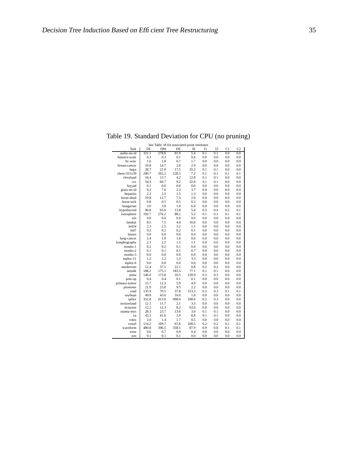| See Table 18 for associated point estimates |       |       |       |       |         |          |     |                |  |  |
|---------------------------------------------|-------|-------|-------|-------|---------|----------|-----|----------------|--|--|
| Task                                        | DL    | DM    | DE    | IE    | $_{11}$ | I2       | C1  | C <sub>2</sub> |  |  |
| audio-no-id                                 | 321.1 | 278.8 | 81.9  | 5.4   | 0.1     | 0.1      | 0.0 | 0.0            |  |  |
| balance-scale                               | 0.3   | 0.3   | 0.1   | 0.6   | 0.0     | 0.0      | 0.0 | 0.0            |  |  |
| bc-wisc                                     | 1.6   | 1.8   | 0.7   | 1.7   | 0.0     | 0.0      | 0.0 | 0.0            |  |  |
| breast-cancer                               | 10.8  | 14.7  | 2.8   | 2.9   | 0.0     | 0.0      | 0.0 | 0.0            |  |  |
| bupa                                        | 28.7  | 21.0  | 17.5  | 35.2  | 0.1     | 0.1      | 0.0 | 0.0            |  |  |
| chess- $551x39$                             | 200.7 | 262.2 | 128.5 | 7.2   | 0.1     | 0.1      | 0.1 | 0.1            |  |  |
| cleveland                                   | 16.4  | 13.7  | 4.2   | 12.8  | 0.1     | 0.1      | 0.0 | 0.0            |  |  |
| <b>CTX</b>                                  | 54.3  | 60.7  | 9.2   | 32.8  | 0.1     | 0.1      | 0.0 | 0.0            |  |  |
| fayyad                                      | 0.1   | 0.0   | 0.0   | 0.0   | 0.0     | 0.0      | 0.0 | 0.0            |  |  |
| glass-no-id                                 | 9.2   | 7.6   | 2.3   | 3.7   | 0.0     | 0.0      | 0.0 | 0.0            |  |  |
| hepatitis                                   | 2.2   | 2.5   | 1.5   | 1.3   | 0.0     | 0.0      | 0.0 | 0.0            |  |  |
| horse-dead                                  | 19.8  | 12.7  | 7.3   | 2.0   | 0.0     | 0.0      | 0.0 | 0.0            |  |  |
| horse-sick                                  | 0.8   | 0.5   | 0.5   | 0.2   | 0.0     | 0.0      | 0.0 | 0.0            |  |  |
| hungarian                                   | 3.0   | 3.9   | 1.0   | 6.0   | 0.0     | 0.0      | 0.0 | 0.0            |  |  |
| hypothyroid                                 | 96.8  | 65.0  | 13.8  | 5.6   | 0.3     | 0.4      | 0.2 | 0.1            |  |  |
| ionosphere                                  | 192.7 | 276.2 | 88.2  | 5.2   | 0.1     | 0.1      | 0.1 | 0.1            |  |  |
| iris                                        | 0.0   | 0.0   | 0.0   | 0.0   | 0.0     | 0.0      | 0.0 | 0.0            |  |  |
| landsat                                     | 8.5   | 7.5   | 4.4   | 16.6  | 0.0     | 0.0      | 0.0 | 0.0            |  |  |
| led <sub>24</sub>                           | 2.3   | 2.5   | 3.2   | 1.1   | 0.0     | 0.0      | 0.0 | 0.0            |  |  |
| led7                                        | 0.2   | 0.2   | 0.2   | 0.1   | 0.0     | 0.0      | 0.0 | 0.0            |  |  |
| lenses                                      | 0.0   | 0.0   | 0.0   | 0.0   | 0.0     | 0.0      | 0.0 | 0.0            |  |  |
| lung-cancer                                 | 2.4   | 1.9   | 1.8   | 0.6   | 0.0     | 0.0      | 0.0 | 0.0            |  |  |
| lymphography                                | 2.1   | 2.2   | 1.5   | 1.1   | 0.0     | 0.0      | 0.0 | 0.0            |  |  |
| monks-1                                     | 0.2   | 0.2   | 0.1   | 0.0   | 0.0     | 0.0      | 0.0 | 0.0            |  |  |
| monks-2                                     | 0.1   | 0.1   | 0.1   | 0.7   | 0.0     | 0.0      | 0.0 | 0.0            |  |  |
| monks-3                                     | 0.0   | 0.0   | 0.0   | 0.0   | 0.0     | 0.0      | 0.0 | 0.0            |  |  |
| $mplex-11$                                  | 1.2   | 1.2   | 1.2   | 3.3   | 0.0     | 0.0      | 0.0 | 0.0            |  |  |
| mplex-6                                     | 0.0   | 0.0   | 0.0   | 0.0   | 0.0     | 0.0      | 0.0 | 0.0            |  |  |
| mushroom                                    | 12.4  | 37.5  | 22.1  | 0.8   | 0.2     | 0.2      | 0.0 | 0.0            |  |  |
| nettalk                                     | 188.2 | 175.1 | 183.5 | 77.1  | 0.1     | 0.1      | 0.0 | 0.0            |  |  |
| pima                                        | 146.0 | 173.8 | 16.5  | 128.9 | 0.3     | 0.3      | 0.0 | 0.0            |  |  |
| post-op                                     | 0.4   | 0.4   | 0.1   | 0.1   | 0.0     | 0.0      | 0.0 | 0.0            |  |  |
| primary-tumor                               | 15.7  | 12.3  | 5.9   | 4.9   | 0.0     | 0.0      | 0.0 | 0.0            |  |  |
| promoter                                    | 21.9  | 23.0  | 9.5   | 2.2   | 0.0     | 0.0      | 0.0 | 0.0            |  |  |
| road                                        | 135.9 | 70.5  | 37.8  | 313.3 | 0.3     | 0.3      | 0.1 | 0.1            |  |  |
| soybean                                     | 49.8  | 43.6  | 16.0  | 1.8   | 0.0     | 0.0      | 0.0 | 0.0            |  |  |
| splice                                      | 352.8 | 613.0 | 498.0 | 108.6 | 0.2     | 0.3      | 0.0 | 0.0            |  |  |
| switzerland                                 | 12.1  | 11.7  | 2.1   | 3.3   | 0.0     | 0.0      | 0.0 | 0.0            |  |  |
| tictactoe                                   | 12.2  | 12.3  | 8.2   | 63.0  | 0.0     | 0.0      | 0.0 | 0.0            |  |  |
| usama-mys                                   | 28.3  | 23.7  | 13.6  | 3.0   | 0.1     | 0.1      | 0.0 | 0.0            |  |  |
| va                                          | 43.1  | 41.6  | 3.9   | 8.8   | 0.1     | 0.1      | 0.0 | 0.0            |  |  |
| votes                                       | 2.0   | 1.4   | 1.7   | 0.5   | 0.0     | 0.0      | 0.0 | 0.0            |  |  |
| vowel                                       | 114.2 | 109.7 | 67.6  | 108.5 | 0.2     | 0.2      | 0.1 | 0.1            |  |  |
| waveform                                    | 480.8 | 396.5 | 358.1 | 87.9  | 0.9     | 0.8      | 0.1 | 0.1            |  |  |
| wine                                        | 0.6   | 0.7   | 0.9   | 0.4   | 0.0     | 0.0      | 0.0 | 0.0            |  |  |
| ZOO                                         | 0.1   | 0.1   | 0.1   | 0.0   | 0.0     | $_{0.0}$ | 0.0 | 0.0            |  |  |

Table 19. Standard Deviation for CPU (no pruning)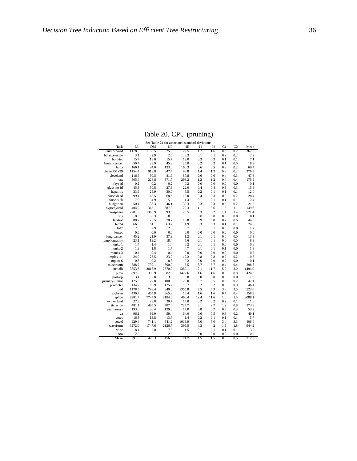Table 20. CPU (pruning)

| See Table 21 for associated standard deviations |        |        |        |        |         |      |     |                |        |
|-------------------------------------------------|--------|--------|--------|--------|---------|------|-----|----------------|--------|
| Task                                            | DL.    | DМ     | DE.    | IE.    | $_{11}$ | 12   | C1  | C <sub>2</sub> | Mean   |
| audio-no-id                                     | 1178.5 | 1159.5 | 575.6  | 22.5   | 1.7     | 1.6  | 0.3 | 0.2            | 367.5  |
| balance-scale                                   | 3.1    | 2.9    | 2.6    | 8.3    | 0.1     | 0.1  | 0.2 | 0.2            | 2.2    |
| bc-wisc                                         | 15.7   | 13.0   | 15.7   | 12.0   | 0.3     | 0.3  | 0.1 | 0.1            | 7.1    |
| breast-cancer                                   | 50.4   | 29.9   | 45.3   | 25.0   | 0.2     | 0.2  | 0.1 | 0.0            | 18.9   |
| bupa                                            | 166.1  | 94.0   | 133.0  | 160.3  | 0.6     | 0.5  | 0.3 | 0.2            | 69.4   |
| chess- $551x39$                                 | 1154.4 | 919.8  | 847.4  | 89.8   | 1.4     | 1.3  | 0.3 | 0.2            | 376.8  |
| cleveland                                       | 116.6  | 90.5   | 81.6   | 87.8   | 0.6     | 0.6  | 0.4 | 0.3            | 47.3   |
| <b>CTX</b>                                      | 505.4  | 228.8  | 371.7  | 298.2  | 1.2     | 1.2  | 0.4 | 0.4            | 175.9  |
| fayyad                                          | 0.2    | 0.2    | 0.2    | 0.2    | 0.0     | 0.0  | 0.0 | 0.0            | 0.1    |
| glass-no-id                                     | 45.3   | 30.8   | 27.9   | 22.0   | 0.4     | 0.4  | 0.3 | 0.3            | 15.9   |
| hepatitis                                       | 33.9   | 25.9   | 30.0   | 5.5    | 0.2     | 0.1  | 0.1 | 0.1            | 12.0   |
| horse-dead                                      | 99.4   | 45.5   | 68.6   | 13.0   | 0.4     | 0.3  | 0.2 | 0.2            | 28.4   |
| horse-sick                                      | 7.0    | 4.9    | 5.9    | 1.4    | 0.1     | 0.1  | 0.1 | 0.1            | 2.4    |
| hungarian                                       | 50.1   | 33.3   | 46.1   | 39.3   | 0.3     | 0.3  | 0.2 | 0.2            | 21.2   |
| hypothyroid                                     | 404.9  | 365.1  | 387.3  | 29.3   | 4.1     | 3.6  | 1.3 | 1.1            | 149.6  |
| ionosphere                                      | 2281.0 | 1366.9 | 893.6  | 20.5   | 3.3     | 3.2  | 1.4 | 1.4            | 571.4  |
| iris                                            | 0.3    | 0.3    | 0.3    | 0.1    | 0.0     | 0.0  | 0.0 | 0.0            | 0.1    |
| landsat                                         | 88.2   | 73.5   | 70.7   | 116.8  | 0.9     | 0.8  | 0.7 | 0.6            | 44.0   |
| led24                                           | 66.6   | 61.1   | 63.7   | 4.9    | 0.3     | 0.3  | 0.1 | 0.1            | 24.6   |
| led7                                            | 2.9    | 2.9    | 2.8    | 0.7    | 0.1     | 0.1  | 0.0 | 0.0            | 1.2    |
| lenses                                          | 0.0    | 0.0    | 0.0    | 0.0    | 0.0     | 0.0  | 0.0 | 0.0            | 0.0    |
| lung-cancer                                     | 45.2   | 21.9   | 37.9   | 1.2    | 0.1     | 0.1  | 0.0 | 0.0            | 13.3   |
| lymphography                                    | 23.1   | 19.2   | 18.4   | 5.6    | 0.1     | 0.1  | 0.0 | 0.0            | 8.3    |
| monks-1                                         | 1.4    | 1.4    | 1.4    | 0.2    | 0.1     | 0.1  | 0.0 | 0.0            | 0.6    |
| monks-2                                         | 1.9    | 1.8    | 1.7    | 4.7    | 0.1     | 0.1  | 0.1 | 0.0            | 1.3    |
| monks-3                                         | 0.4    | 0.4    | 0.4    | 0.0    | 0.0     | 0.0  | 0.0 | 0.0            | 0.2    |
| $mplex-11$                                      | 24.0   | 23.5   | 23.0   | 12.2   | 0.8     | 0.8  | 0.2 | 0.2            | 10.6   |
| mplex-6                                         | 0.3    | 0.2    | 0.3    | 0.2    | 0.0     | 0.0  | 0.0 | 0.0            | 0.1    |
| mushroom                                        | 888.2  | 792.1  | 690.9  | 5.5    | 5.7     | 5.7  | 0.4 | 0.4            | 298.6  |
| nettalk                                         | 3853.6 | 3815.9 | 2870.9 | 1380.1 | 12.1    | 11.7 | 5.0 | 3.0            | 1494.0 |
| pima                                            | 897.5  | 390.9  | 682.3  | 1422.6 | 1.6     | 1.6  | 0.9 | 0.8            | 424.8  |
| post-op                                         | 3.4    | 2.8    | 3.3    | 0.8    | 0.0     | 0.0  | 0.0 | 0.0            | 1.3    |
| primary-tumor                                   | 125.3  | 122.8  | 100.9  | 26.0   | 0.7     | 0.5  | 0.3 | 0.2            | 47.1   |
| promoter                                        | 134.7  | 100.9  | 125.7  | 9.7    | 0.2     | 0.2  | 0.0 | 0.0            | 46.4   |
| road                                            | 1178.5 | 793.4  | 840.0  | 1355.8 | 4.5     | 4.3  | 3.8 | 3.5            | 523.0  |
| soybean                                         | 430.7  | 454.8  | 365.3  | 16.4   | 1.6     | 1.6  | 0.4 | 0.4            | 158.9  |
| splice                                          | 8281.7 | 7744.9 | 8184.6 | 466.4  | 12.4    | 11.6 | 1.6 | 1.5            | 3088.1 |
| switzerland                                     | 27.9   | 29.8   | 20.7   | 14.0   | 0.2     | 0.2  | 0.2 | 0.1            | 11.6   |
| tictactoe                                       | 481.1  | 485.5  | 487.6  | 724.7  | 3.1     | 2.7  | 1.2 | 0.8            | 273.3  |
| usama-mys                                       | 193.0  | 86.4   | 129.8  | 14.0   | 0.8     | 0.7  | 0.3 | 0.3            | 53.2   |
| va                                              | 96.1   | 99.9   | 59.4   | 64.0   | 0.6     | 0.5  | 0.3 | 0.2            | 40.1   |
| votes                                           | 16.3   | 13.8   | 13.7   | 1.4    | 0.2     | 0.1  | 0.1 | 0.1            | 5.7    |
| vowel                                           | 929.4  | 741.1  | 541.2  | 1019.9 | 5.0     | 5.0  | 3.4 | 3.3            | 406.0  |
| waveform                                        | 3272.0 | 1747.6 | 2126.7 | 395.5  | 4.3     | 4.2  | 1.9 | 1.8            | 944.2  |
| wine                                            | 8.1    | 7.0    | 7.3    | 1.5    | 0.1     | 0.1  | 0.1 | 0.1            | 3.0    |
| ZOO                                             | 2.2    | 2.1    | 2.3    | 0.1    | 0.0     | 0.0  | 0.0 | 0.0            | 0.9    |
| Mean                                            | 591.0  | 479.3  | 456.6  | 171.7  | 1.5     | 1.5  | 0.6 | 0.5            | 212.8  |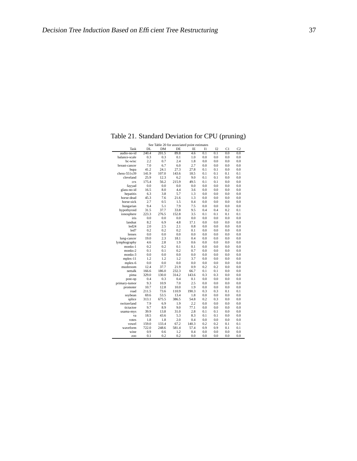| See Table 20 for associated point estimates |       |       |       |       |     |     |     |                |  |  |
|---------------------------------------------|-------|-------|-------|-------|-----|-----|-----|----------------|--|--|
| Task                                        | DL    | DM    | DE    | IE    | 11  | I2  | C1  | C <sub>2</sub> |  |  |
| audio-no-id                                 | 240.4 | 201.5 | 89.8  | 4.6   | 0.1 | 0.1 | 0.0 | 0.0            |  |  |
| balance-scale                               | 0.3   | 0.3   | 0.1   | 1.0   | 0.0 | 0.0 | 0.0 | 0.0            |  |  |
| bc-wisc                                     | 2.2   | 0.7   | 2.4   | 1.8   | 0.0 | 0.0 | 0.0 | 0.0            |  |  |
| breast-cancer                               | 7.0   | 6.7   | 6.0   | 2.7   | 0.0 | 0.0 | 0.0 | 0.0            |  |  |
| bupa                                        | 41.2  | 24.1  | 27.3  | 27.8  | 0.1 | 0.1 | 0.0 | 0.0            |  |  |
| chess- $551x39$                             | 141.9 | 107.0 | 143.6 | 18.5  | 0.1 | 0.1 | 0.1 | 0.1            |  |  |
| cleveland                                   | 25.9  | 12.3  | 6.2   | 9.0   | 0.1 | 0.1 | 0.0 | 0.0            |  |  |
| <b>CTX</b>                                  | 175.4 | 56.2  | 215.9 | 49.5  | 0.1 | 0.1 | 0.0 | 0.0            |  |  |
| fayyad                                      | 0.0   | 0.0   | 0.0   | 0.0   | 0.0 | 0.0 | 0.0 | 0.0            |  |  |
| glass-no-id                                 | 16.5  | 8.0   | 4.4   | 3.6   | 0.0 | 0.0 | 0.0 | 0.0            |  |  |
| hepatitis                                   | 6.3   | 3.8   | 5.7   | 1.3   | 0.0 | 0.0 | 0.0 | 0.0            |  |  |
| horse-dead                                  | 45.3  | 7.6   | 21.6  | 1.3   | 0.0 | 0.0 | 0.0 | 0.0            |  |  |
| horse-sick                                  | 2.7   | 0.5   | 1.5   | 0.4   | 0.0 | 0.0 | 0.0 | 0.0            |  |  |
| hungarian                                   | 9.4   | 5.1   | 7.9   | 7.5   | 0.0 | 0.0 | 0.0 | 0.0            |  |  |
| hypothyroid                                 | 31.5  | 37.7  | 33.8  | 9.5   | 0.4 | 0.4 | 0.2 | 0.1            |  |  |
| ionosphere                                  | 223.3 | 276.5 | 152.8 | 3.5   | 0.1 | 0.1 | 0.1 | 0.1            |  |  |
| iris                                        | 0.0   | 0.0   | 0.0   | 0.0   | 0.0 | 0.0 | 0.0 | 0.0            |  |  |
| landsat                                     | 8.2   | 6.9   | 4.8   | 17.1  | 0.0 | 0.0 | 0.0 | 0.0            |  |  |
| led24                                       | 2.0   | 2.5   | 2.1   | 0.8   | 0.0 | 0.0 | 0.0 | 0.0            |  |  |
| led7                                        | 0.2   | 0.2   | 0.2   | 0.1   | 0.0 | 0.0 | 0.0 | 0.0            |  |  |
| lenses                                      | 0.0   | 0.0   | 0.0   | 0.0   | 0.0 | 0.0 | 0.0 | 0.0            |  |  |
| lung-cancer                                 | 19.0  | 2.3   | 18.1  | 0.4   | 0.0 | 0.0 | 0.0 | 0.0            |  |  |
| lymphography                                | 4.6   | 2.8   | 1.9   | 0.6   | 0.0 | 0.0 | 0.0 | 0.0            |  |  |
| monks-1                                     | 0.2   | 0.2   | 0.1   | 0.1   | 0.0 | 0.0 | 0.0 | 0.0            |  |  |
| monks-2                                     | 0.1   | 0.1   | 0.2   | 0.7   | 0.0 | 0.0 | 0.0 | 0.0            |  |  |
| monks-3                                     | 0.0   | 0.0   | 0.0   | 0.0   | 0.0 | 0.0 | 0.0 | 0.0            |  |  |
| $mplex-11$                                  | 1.2   | 1.2   | 1.2   | 3.7   | 0.0 | 0.0 | 0.0 | 0.0            |  |  |
| mplex-6                                     | 0.0   | 0.0   | 0.0   | 0.0   | 0.0 | 0.0 | 0.0 | 0.0            |  |  |
| mushroom                                    | 12.4  | 37.7  | 21.9  | 0.9   | 0.2 | 0.2 | 0.0 | 0.0            |  |  |
| nettalk                                     | 166.6 | 186.0 | 232.3 | 66.7  | 0.1 | 0.1 | 0.0 | 0.0            |  |  |
| pima                                        | 329.0 | 130.0 | 314.2 | 143.6 | 0.3 | 0.3 | 0.0 | 0.0            |  |  |
| post-op                                     | 0.4   | 0.3   | 0.4   | 0.1   | 0.0 | 0.0 | 0.0 | 0.0            |  |  |
| primary-tumor                               | 9.3   | 10.9  | 7.0   | 2.5   | 0.0 | 0.0 | 0.0 | 0.0            |  |  |
| promoter                                    | 10.7  | 12.8  | 10.0  | 1.9   | 0.0 | 0.0 | 0.0 | 0.0            |  |  |
| road                                        | 211.5 | 73.6  | 110.9 | 190.3 | 0.3 | 0.3 | 0.1 | 0.1            |  |  |
| soybean                                     | 69.6  | 53.5  | 13.4  | 1.8   | 0.0 | 0.0 | 0.0 | 0.0            |  |  |
| splice                                      | 313.1 | 675.5 | 386.5 | 54.8  | 0.2 | 0.3 | 0.0 | 0.0            |  |  |
| switzerland                                 | 7.9   | 6.9   | 1.9   | 2.2   | 0.0 | 0.0 | 0.0 | 0.0            |  |  |
| tictactoe                                   | 9.7   | 8.9   | 9.0   | 77.1  | 0.0 | 0.0 | 0.0 | 0.0            |  |  |
| usama-mys                                   | 39.9  | 13.8  | 31.0  | 2.8   | 0.1 | 0.1 | 0.0 | 0.0            |  |  |
| va                                          | 18.5  | 43.6  | 5.3   | 8.3   | 0.1 | 0.1 | 0.0 | 0.0            |  |  |
| votes                                       | 1.8   | 1.8   | 2.0   | 0.4   | 0.0 | 0.0 | 0.0 | 0.0            |  |  |
| vowel                                       | 159.0 | 133.4 | 67.2  | 140.3 | 0.2 | 0.2 | 0.1 | 0.1            |  |  |
| waveform                                    | 722.0 | 248.6 | 581.4 | 57.4  | 0.9 | 0.9 | 0.1 | 0.1            |  |  |
| wine                                        | 0.9   | 0.6   | 1.2   | 0.4   | 0.0 | 0.0 | 0.0 | 0.0            |  |  |
| ZOO                                         | 0.1   | 0.2   | 0.2   | 0.0   | 0.0 | 0.0 | 0.0 | 0.0            |  |  |

Table 21. Standard Deviation for CPU (pruning)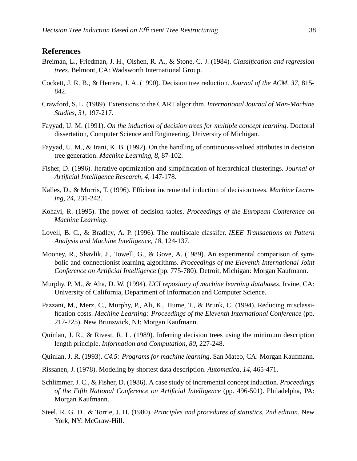# **References**

- Breiman, L., Friedman, J. H., Olshen, R. A., & Stone, C. J. (1984). *Classification and regression trees*. Belmont, CA: Wadsworth International Group.
- Cockett, J. R. B., & Herrera, J. A. (1990). Decision tree reduction. *Journal of the ACM, 37*, 815- 842.
- Crawford, S. L. (1989). Extensionsto the CART algorithm. *International Journal of Man-Machine Studies, 31*, 197-217.
- Fayyad, U. M. (1991). *On the induction of decision trees for multiple concept learning*. Doctoral dissertation, Computer Science and Engineering, University of Michigan.
- Fayyad, U. M., & Irani, K. B. (1992). On the handling of continuous-valued attributes in decision tree generation. *Machine Learning, 8*, 87-102.
- Fisher, D. (1996). Iterative optimization and simplification of hierarchical clusterings. *Journal of Artificial Intelligence Research, 4*, 147-178.
- Kalles, D., & Morris, T. (1996). Efficient incremental induction of decision trees. *Machine Learning, 24*, 231-242.
- Kohavi, R. (1995). The power of decision tables. *Proceedings of the European Conference on Machine Learning*.
- Lovell, B. C., & Bradley, A. P. (1996). The multiscale classifer. *IEEE Transactions on Pattern Analysis and Machine Intelligence, 18*, 124-137.
- Mooney, R., Shavlik, J., Towell, G., & Gove, A. (1989). An experimental comparison of symbolic and connectionist learning algorithms. *Proceedings of the Eleventh International Joint Conference on Artificial Intelligence* (pp. 775-780). Detroit, Michigan: Morgan Kaufmann.
- Murphy, P. M., & Aha, D. W. (1994). *UCI repository of machine learning databases*, Irvine, CA: University of California, Department of Information and Computer Science.
- Pazzani, M., Merz, C., Murphy, P., Ali, K., Hume, T., & Brunk, C. (1994). Reducing misclassification costs. *Machine Learning: Proceedings of the Eleventh International Conference* (pp. 217-225). New Brunswick, NJ: Morgan Kaufmann.
- Quinlan, J. R., & Rivest, R. L. (1989). Inferring decision trees using the minimum description length principle. *Information and Computation, 80*, 227-248.
- Quinlan, J. R. (1993). *C4.5: Programs for machine learning*. San Mateo, CA: Morgan Kaufmann.
- Rissanen, J. (1978). Modeling by shortest data description. *Automatica, 14*, 465-471.
- Schlimmer, J. C., & Fisher, D. (1986). A case study of incremental concept induction. *Proceedings of the Fifth National Conference on Artificial Intelligence* (pp. 496-501). Philadelpha, PA: Morgan Kaufmann.
- Steel, R. G. D., & Torrie, J. H. (1980). *Principles and procedures of statistics, 2nd edition*. New York, NY: McGraw-Hill.